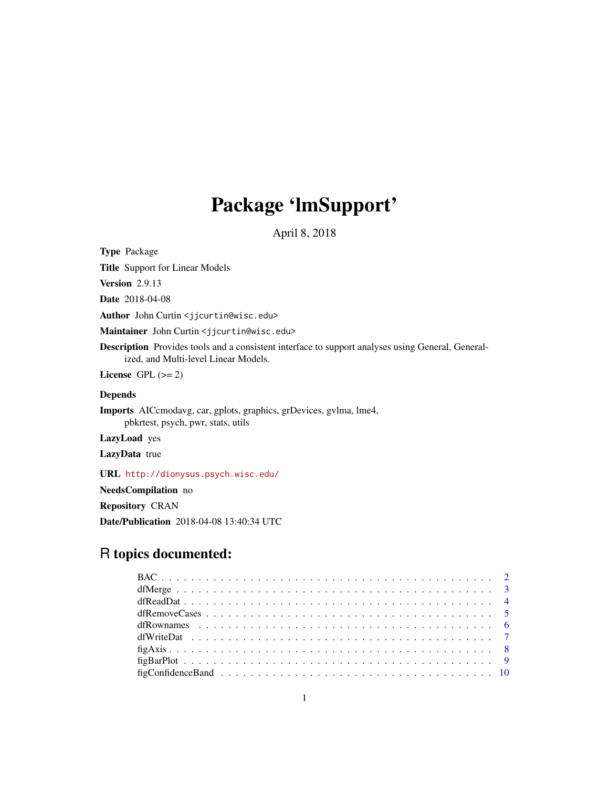# Package 'lmSupport'

April 8, 2018

<span id="page-0-0"></span>Type Package

Title Support for Linear Models

Version 2.9.13

Date 2018-04-08

Author John Curtin <jjcurtin@wisc.edu>

Maintainer John Curtin <jjcurtin@wisc.edu>

Description Provides tools and a consistent interface to support analyses using General, Generalized, and Multi-level Linear Models.

License GPL  $(>= 2)$ 

# Depends

Imports AICcmodavg, car, gplots, graphics, grDevices, gvlma, lme4, pbkrtest, psych, pwr, stats, utils

LazyLoad yes

LazyData true

URL <http://dionysus.psych.wisc.edu/>

NeedsCompilation no

Repository CRAN

Date/Publication 2018-04-08 13:40:34 UTC

# R topics documented: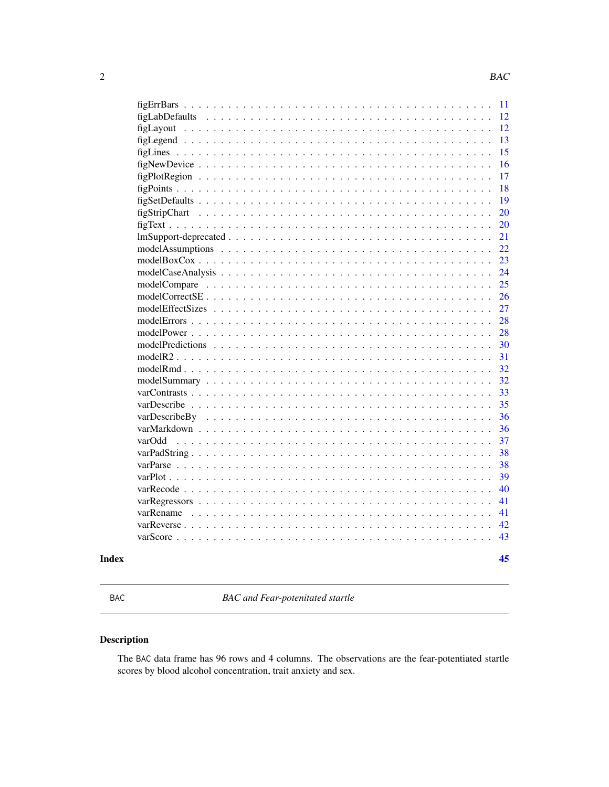<span id="page-1-0"></span>

| Index |                                               | 45       |
|-------|-----------------------------------------------|----------|
|       | $varScore$                                    | 43       |
|       | $varReverse \ldots$                           | 42       |
|       | varRename<br>.                                | 41       |
|       | varRegressors<br>.                            | 41       |
|       | varRecode                                     | 40       |
|       | $varPlot \dots \dots$                         | 39       |
|       | $varParse \dots \dots$                        | 38       |
|       |                                               | 38       |
|       | varOdd                                        | 37       |
|       |                                               | 36       |
|       | varDescribeBy                                 | 36       |
|       |                                               | 35       |
|       |                                               | 33       |
|       |                                               | 32       |
|       |                                               | 32       |
|       | modelR2<br>.<br>$\mathbf{1}$ and $\mathbf{1}$ | 31       |
|       | modelPredictions<br>.                         | 30       |
|       | modelPower $\ldots$<br>.                      | 28       |
|       | modelErrors $\ldots$<br>.                     | 28       |
|       |                                               | 27       |
|       |                                               | 26       |
|       |                                               | 25       |
|       |                                               | 24       |
|       |                                               | 23       |
|       |                                               | 22       |
|       |                                               | 21       |
|       |                                               | 20       |
|       |                                               | 20       |
|       |                                               | 19       |
|       |                                               | 18       |
|       |                                               | 17       |
|       |                                               | 15<br>16 |
|       |                                               | 13       |
|       |                                               | 12       |
|       | figLabDefaults                                | 12       |
|       |                                               | 11       |
|       |                                               |          |

BAC *BAC and Fear-potenitated startle*

# Description

The BAC data frame has 96 rows and 4 columns. The observations are the fear-potentiated startle scores by blood alcohol concentration, trait anxiety and sex.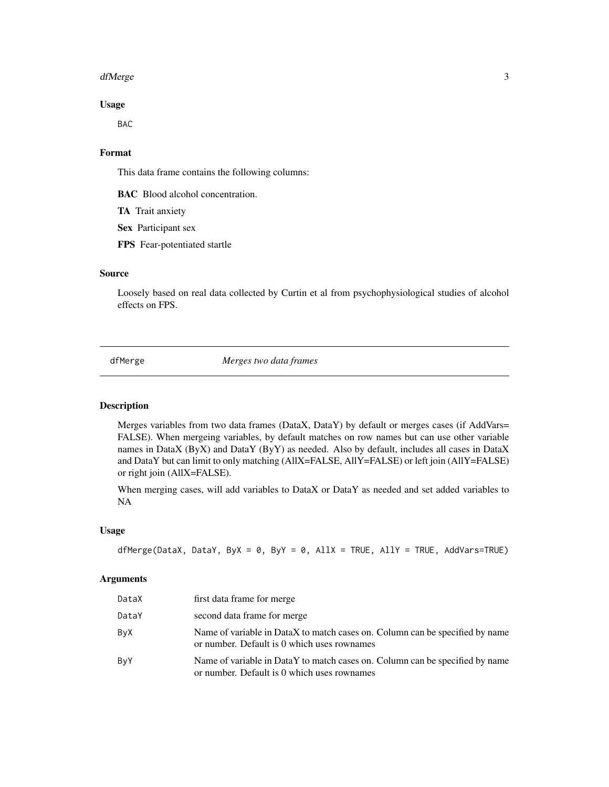#### <span id="page-2-0"></span>dfMerge 3

# Usage

BAC

# Format

This data frame contains the following columns:

BAC Blood alcohol concentration.

TA Trait anxiety

Sex Participant sex

FPS Fear-potentiated startle

# Source

Loosely based on real data collected by Curtin et al from psychophysiological studies of alcohol effects on FPS.

<span id="page-2-1"></span>dfMerge *Merges two data frames*

# Description

Merges variables from two data frames (DataX, DataY) by default or merges cases (if AddVars= FALSE). When mergeing variables, by default matches on row names but can use other variable names in DataX (ByX) and DataY (ByY) as needed. Also by default, includes all cases in DataX and DataY but can limit to only matching (AllX=FALSE, AllY=FALSE) or left join (AllY=FALSE) or right join (AllX=FALSE).

When merging cases, will add variables to DataX or DataY as needed and set added variables to NA

# Usage

```
dfMerge(DataX, DataY, ByX = 0, ByY = 0, AllX = TRUE, AllY = TRUE, AddVars=TRUE)
```
#### Arguments

| DataX | first data frame for merge                                                                                                  |
|-------|-----------------------------------------------------------------------------------------------------------------------------|
| DataY | second data frame for merge                                                                                                 |
| ByX   | Name of variable in DataX to match cases on. Column can be specified by name<br>or number. Default is 0 which uses rownames |
| ByY   | Name of variable in DataY to match cases on. Column can be specified by name<br>or number. Default is 0 which uses rownames |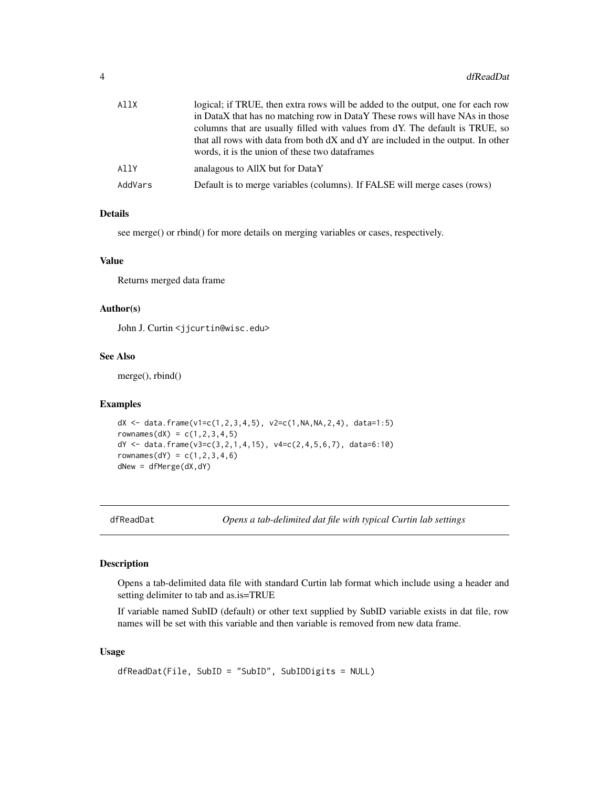<span id="page-3-0"></span>

| AllX    | logical; if TRUE, then extra rows will be added to the output, one for each row                                                    |
|---------|------------------------------------------------------------------------------------------------------------------------------------|
|         | in DataX that has no matching row in DataY These rows will have NAs in those                                                       |
|         | columns that are usually filled with values from dY. The default is TRUE, so                                                       |
|         | that all rows with data from both dX and dY are included in the output. In other<br>words, it is the union of these two dataframes |
| AllY    | analagous to AllX but for DataY                                                                                                    |
|         |                                                                                                                                    |
| AddVars | Default is to merge variables (columns). If FALSE will merge cases (rows)                                                          |

# Details

see merge() or rbind() for more details on merging variables or cases, respectively.

## Value

Returns merged data frame

#### Author(s)

John J. Curtin <jjcurtin@wisc.edu>

#### See Also

merge(), rbind()

#### Examples

```
dX <- data.frame(v1=c(1,2,3,4,5), v2=c(1,NA,NA,2,4), data=1:5)
rownames(dX) = c(1, 2, 3, 4, 5)dY <- data.frame(v3=c(3,2,1,4,15), v4=c(2,4,5,6,7), data=6:10)
rownames(dY) = c(1, 2, 3, 4, 6)dNew = dfMerge(dX, dY)
```
<span id="page-3-1"></span>

dfReadDat *Opens a tab-delimited dat file with typical Curtin lab settings*

# Description

Opens a tab-delimited data file with standard Curtin lab format which include using a header and setting delimiter to tab and as.is=TRUE

If variable named SubID (default) or other text supplied by SubID variable exists in dat file, row names will be set with this variable and then variable is removed from new data frame.

# Usage

```
dfReadDat(File, SubID = "SubID", SubIDDigits = NULL)
```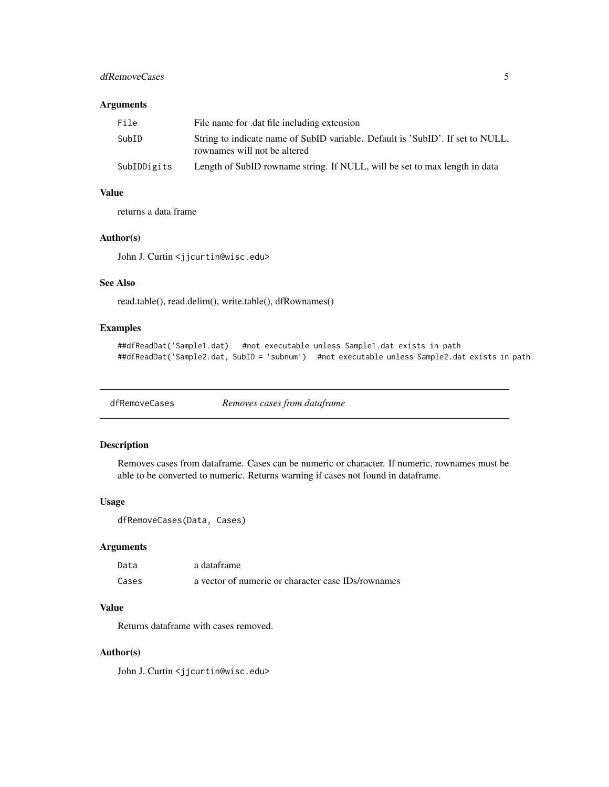# <span id="page-4-0"></span>dfRemoveCases 5

# Arguments

| File        | File name for dat file including extension                                                                     |
|-------------|----------------------------------------------------------------------------------------------------------------|
| SubID       | String to indicate name of SubID variable. Default is 'SubID'. If set to NULL,<br>rownames will not be altered |
| SubIDDigits | Length of SubID rowname string. If NULL, will be set to max length in data                                     |

# Value

returns a data frame

#### Author(s)

John J. Curtin <jjcurtin@wisc.edu>

#### See Also

read.table(), read.delim(), write.table(), dfRownames()

# Examples

```
##dfReadDat('Sample1.dat) #not executable unless Sample1.dat exists in path
##dfReadDat('Sample2.dat, SubID = 'subnum') #not executable unless Sample2.dat exists in path
```
<span id="page-4-1"></span>dfRemoveCases *Removes cases from dataframe*

### Description

Removes cases from dataframe. Cases can be numeric or character. If numeric, rownames must be able to be converted to numeric. Returns warning if cases not found in dataframe.

# Usage

```
dfRemoveCases(Data, Cases)
```
# Arguments

| Data  | a dataframe                                        |
|-------|----------------------------------------------------|
| Cases | a vector of numeric or character case IDs/rownames |

# Value

Returns dataframe with cases removed.

#### Author(s)

John J. Curtin <jjcurtin@wisc.edu>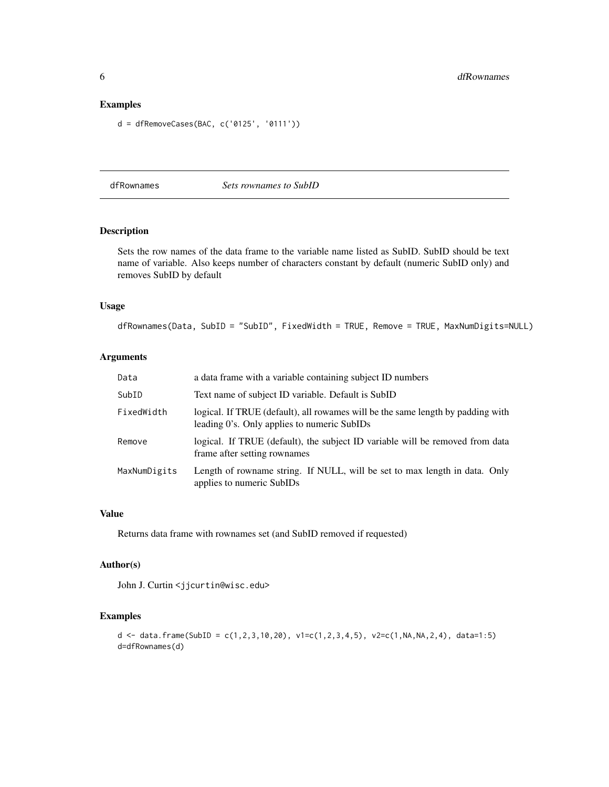# <span id="page-5-0"></span>Examples

```
d = dfRemoveCases(BAC, c('0125', '0111'))
```
<span id="page-5-1"></span>dfRownames *Sets rownames to SubID*

# Description

Sets the row names of the data frame to the variable name listed as SubID. SubID should be text name of variable. Also keeps number of characters constant by default (numeric SubID only) and removes SubID by default

# Usage

dfRownames(Data, SubID = "SubID", FixedWidth = TRUE, Remove = TRUE, MaxNumDigits=NULL)

# Arguments

| Data         | a data frame with a variable containing subject ID numbers                                                                     |
|--------------|--------------------------------------------------------------------------------------------------------------------------------|
| SubID        | Text name of subject ID variable. Default is SubID                                                                             |
| FixedWidth   | logical. If TRUE (default), all rowames will be the same length by padding with<br>leading 0's. Only applies to numeric SubIDs |
| Remove       | logical. If TRUE (default), the subject ID variable will be removed from data<br>frame after setting rownames                  |
| MaxNumDigits | Length of rowname string. If NULL, will be set to max length in data. Only<br>applies to numeric SubIDs                        |

#### Value

Returns data frame with rownames set (and SubID removed if requested)

#### Author(s)

John J. Curtin <jjcurtin@wisc.edu>

#### Examples

d <- data.frame(SubID = c(1,2,3,10,20), v1=c(1,2,3,4,5), v2=c(1,NA,NA,2,4), data=1:5) d=dfRownames(d)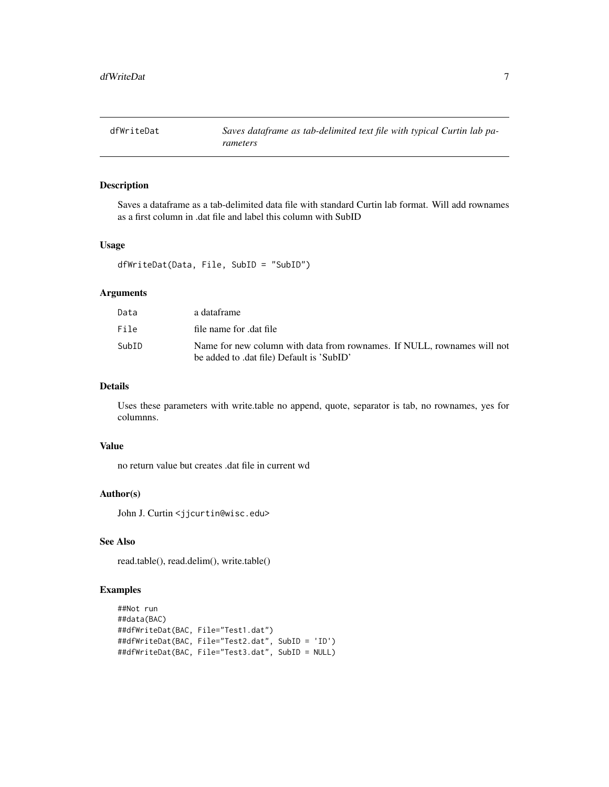<span id="page-6-1"></span><span id="page-6-0"></span>

Saves a dataframe as a tab-delimited data file with standard Curtin lab format. Will add rownames as a first column in .dat file and label this column with SubID

# Usage

```
dfWriteDat(Data, File, SubID = "SubID")
```
#### Arguments

| Data  | a dataframe                                                                                                          |
|-------|----------------------------------------------------------------------------------------------------------------------|
| File  | file name for dat file                                                                                               |
| SubID | Name for new column with data from rownames. If NULL, rownames will not<br>be added to .dat file) Default is 'SubID' |

# Details

Uses these parameters with write.table no append, quote, separator is tab, no rownames, yes for columnns.

#### Value

no return value but creates .dat file in current wd

# Author(s)

John J. Curtin <jjcurtin@wisc.edu>

# See Also

read.table(), read.delim(), write.table()

```
##Not run
##data(BAC)
##dfWriteDat(BAC, File="Test1.dat")
##dfWriteDat(BAC, File="Test2.dat", SubID = 'ID')
##dfWriteDat(BAC, File="Test3.dat", SubID = NULL)
```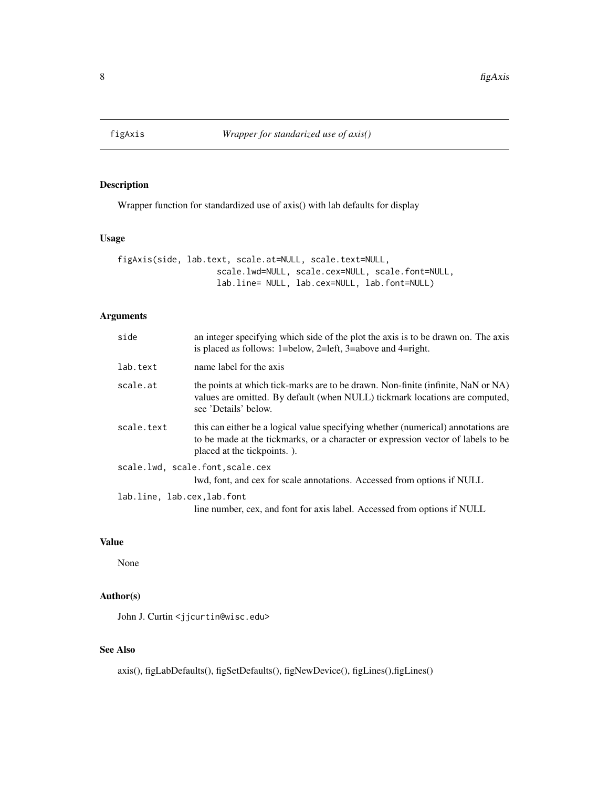<span id="page-7-0"></span>

Wrapper function for standardized use of axis() with lab defaults for display

# Usage

```
figAxis(side, lab.text, scale.at=NULL, scale.text=NULL,
                    scale.lwd=NULL, scale.cex=NULL, scale.font=NULL,
                    lab.line= NULL, lab.cex=NULL, lab.font=NULL)
```
# Arguments

| side                       | an integer specifying which side of the plot the axis is to be drawn on. The axis<br>is placed as follows: 1=below, 2=left, 3=above and 4=right.                                                     |
|----------------------------|------------------------------------------------------------------------------------------------------------------------------------------------------------------------------------------------------|
| lab.text                   | name label for the axis                                                                                                                                                                              |
| scale.at                   | the points at which tick-marks are to be drawn. Non-finite (infinite, NaN or NA)<br>values are omitted. By default (when NULL) tickmark locations are computed,<br>see 'Details' below.              |
| scale.text                 | this can either be a logical value specifying whether (numerical) annotations are<br>to be made at the tickmarks, or a character or expression vector of labels to be<br>placed at the tickpoints.). |
|                            | scale.lwd, scale.font, scale.cex<br>lwd, font, and cex for scale annotations. Accessed from options if NULL                                                                                          |
| lab.line, lab.cex.lab.font | line number, cex, and font for axis label. Accessed from options if NULL                                                                                                                             |

# Value

None

# Author(s)

John J. Curtin <jjcurtin@wisc.edu>

# See Also

axis(), figLabDefaults(), figSetDefaults(), figNewDevice(), figLines(),figLines()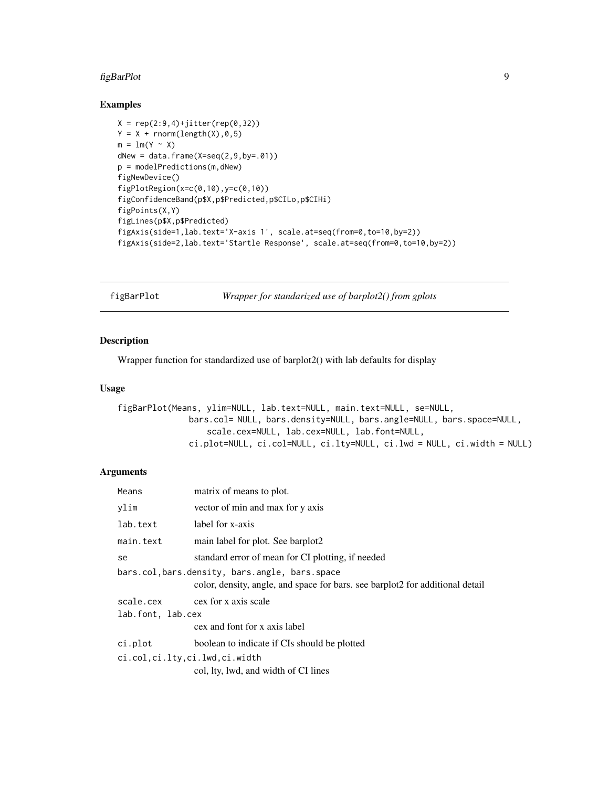# <span id="page-8-0"></span>figBarPlot 9

#### Examples

```
X = rep(2:9,4)+jitter(rep(0,32))Y = X + \text{norm}(\text{length}(X), 0, 5)m = lm(Y \sim X)dNew = data.frame(X=seq(2, 9, by=.01))p = modelPredictions(m,dNew)
figNewDevice()
figPlotRegion(x=c(0,10),y=c(0,10))
figConfidenceBand(p$X,p$Predicted,p$CILo,p$CIHi)
figPoints(X,Y)
figLines(p$X,p$Predicted)
figAxis(side=1,lab.text='X-axis 1', scale.at=seq(from=0,to=10,by=2))
figAxis(side=2,lab.text='Startle Response', scale.at=seq(from=0,to=10,by=2))
```
figBarPlot *Wrapper for standarized use of barplot2() from gplots*

#### Description

Wrapper function for standardized use of barplot2() with lab defaults for display

#### Usage

```
figBarPlot(Means, ylim=NULL, lab.text=NULL, main.text=NULL, se=NULL,
              bars.col= NULL, bars.density=NULL, bars.angle=NULL, bars.space=NULL,
                  scale.cex=NULL, lab.cex=NULL, lab.font=NULL,
              ci.plot=NULL, ci.col=NULL, ci.lty=NULL, ci.lwd = NULL, ci.width = NULL)
```
#### **Arguments**

| Means                         | matrix of means to plot.                                                                                                       |
|-------------------------------|--------------------------------------------------------------------------------------------------------------------------------|
| vlim                          | vector of min and max for y axis                                                                                               |
| lab.text                      | label for x-axis                                                                                                               |
| main.text                     | main label for plot. See barplot2                                                                                              |
| se                            | standard error of mean for CI plotting, if needed                                                                              |
|                               | bars.col,bars.density, bars.angle, bars.space<br>color, density, angle, and space for bars, see barplot2 for additional detail |
|                               | scale.cex cex for x axis scale                                                                                                 |
| lab.font, lab.cex             |                                                                                                                                |
|                               | cex and font for x axis label                                                                                                  |
| ci.plot                       | boolean to indicate if CIs should be plotted                                                                                   |
| ci.col,ci.lty,ci.lwd,ci.width |                                                                                                                                |
|                               | col, lty, lwd, and width of CI lines                                                                                           |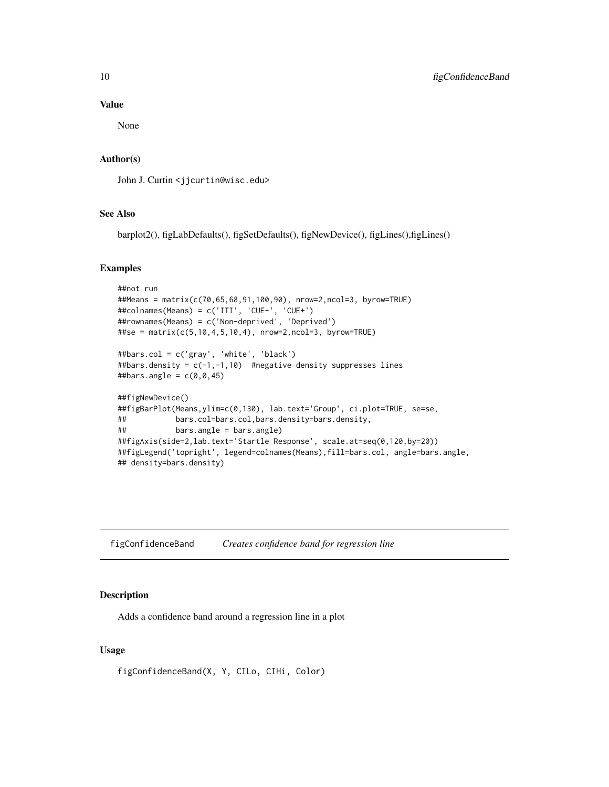#### Value

None

#### Author(s)

John J. Curtin <jjcurtin@wisc.edu>

# See Also

barplot2(), figLabDefaults(), figSetDefaults(), figNewDevice(), figLines(),figLines()

# Examples

```
##not run
##Means = matrix(c(70,65,68,91,100,90), nrow=2,ncol=3, byrow=TRUE)
##colnames(Means) = c('ITI', 'CUE-', 'CUE+')
##rownames(Means) = c('Non-deprived', 'Deprived')
##se = matrix(c(5,10,4,5,10,4), nrow=2,ncol=3, byrow=TRUE)
##bars.col = c('gray', 'white', 'black')
##bars.density = c(-1,-1,10) #negative density suppresses lines
##bars.angle = c(\theta, \theta, 45)##figNewDevice()
##figBarPlot(Means,ylim=c(0,130), lab.text='Group', ci.plot=TRUE, se=se,
## bars.col=bars.col,bars.density=bars.density,
## bars.angle = bars.angle)
##figAxis(side=2,lab.text='Startle Response', scale.at=seq(0,120,by=20))
##figLegend('topright', legend=colnames(Means),fill=bars.col, angle=bars.angle,
## density=bars.density)
```
figConfidenceBand *Creates confidence band for regression line*

# Description

Adds a confidence band around a regression line in a plot

#### Usage

figConfidenceBand(X, Y, CILo, CIHi, Color)

<span id="page-9-0"></span>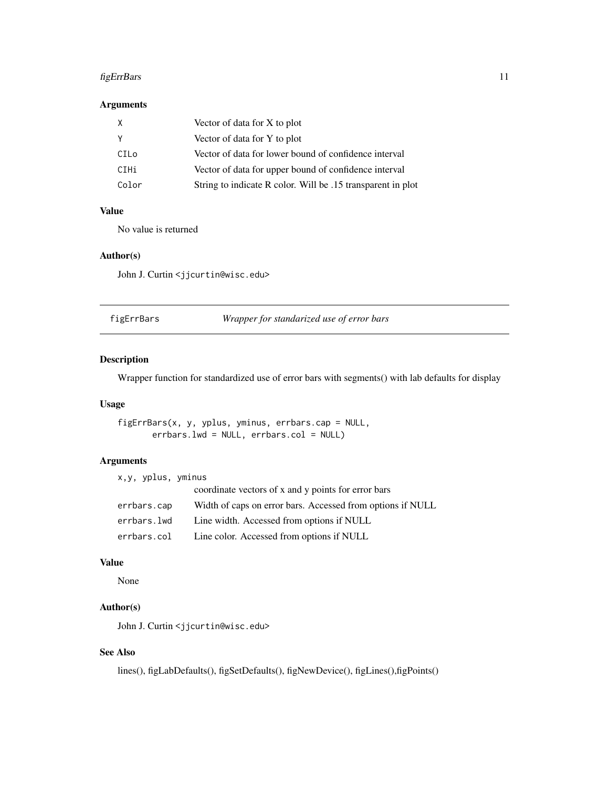# <span id="page-10-0"></span>figErrBars 11

# Arguments

| X     | Vector of data for X to plot                                |
|-------|-------------------------------------------------------------|
| Y     | Vector of data for Y to plot                                |
| CILo  | Vector of data for lower bound of confidence interval       |
| CIHi  | Vector of data for upper bound of confidence interval       |
| Color | String to indicate R color. Will be .15 transparent in plot |

# Value

No value is returned

#### Author(s)

John J. Curtin <jjcurtin@wisc.edu>

| figErrBars | Wrapper for standarized use of error bars |  |
|------------|-------------------------------------------|--|
|------------|-------------------------------------------|--|

# Description

Wrapper function for standardized use of error bars with segments() with lab defaults for display

# Usage

```
figErrBars(x, y, yplus, yminus, errbars.cap = NULL,
      errbars.lwd = NULL, errbars.col = NULL)
```
#### Arguments

| x,y, yplus, yminus |                                                            |
|--------------------|------------------------------------------------------------|
|                    | coordinate vectors of x and y points for error bars        |
| errbars.cap        | Width of caps on error bars. Accessed from options if NULL |
| errbars.lwd        | Line width. Accessed from options if NULL                  |
| errbars.col        | Line color. Accessed from options if NULL                  |

# Value

None

# Author(s)

John J. Curtin <jjcurtin@wisc.edu>

# See Also

lines(), figLabDefaults(), figSetDefaults(), figNewDevice(), figLines(),figPoints()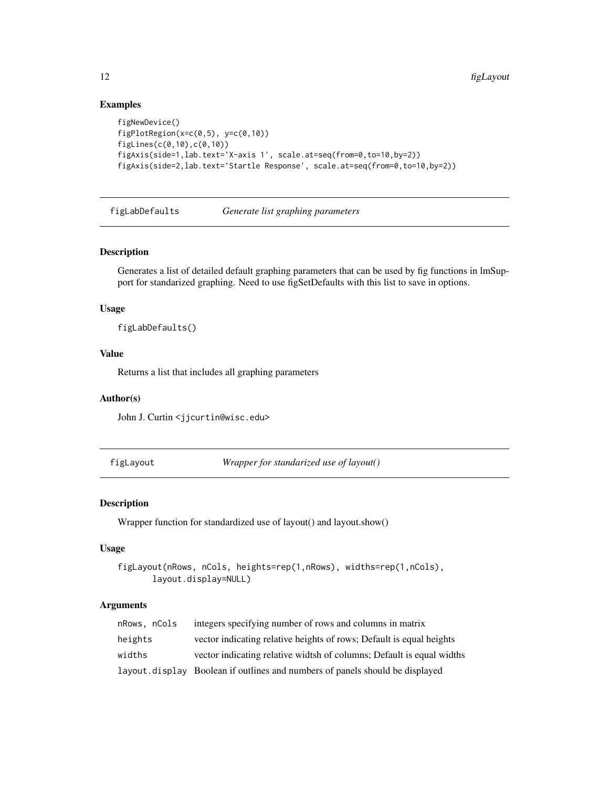# Examples

```
figNewDevice()
figPlotRegion(x=c(0,5), y=c(0,10))
figLines(c(0,10),c(0,10))
figAxis(side=1,lab.text='X-axis 1', scale.at=seq(from=0,to=10,by=2))
figAxis(side=2,lab.text='Startle Response', scale.at=seq(from=0,to=10,by=2))
```
figLabDefaults *Generate list graphing parameters*

# Description

Generates a list of detailed default graphing parameters that can be used by fig functions in lmSupport for standarized graphing. Need to use figSetDefaults with this list to save in options.

#### Usage

figLabDefaults()

#### Value

Returns a list that includes all graphing parameters

# Author(s)

John J. Curtin <jjcurtin@wisc.edu>

figLayout *Wrapper for standarized use of layout()*

# Description

Wrapper function for standardized use of layout() and layout.show()

#### Usage

```
figLayout(nRows, nCols, heights=rep(1,nRows), widths=rep(1,nCols),
       layout.display=NULL)
```
#### Arguments

| nRows, nCols | integers specifying number of rows and columns in matrix                      |
|--------------|-------------------------------------------------------------------------------|
| heights      | vector indicating relative heights of rows; Default is equal heights          |
| widths       | vector indicating relative widtsh of columns; Default is equal widths         |
|              | layout. display Boolean if outlines and numbers of panels should be displayed |

<span id="page-11-0"></span>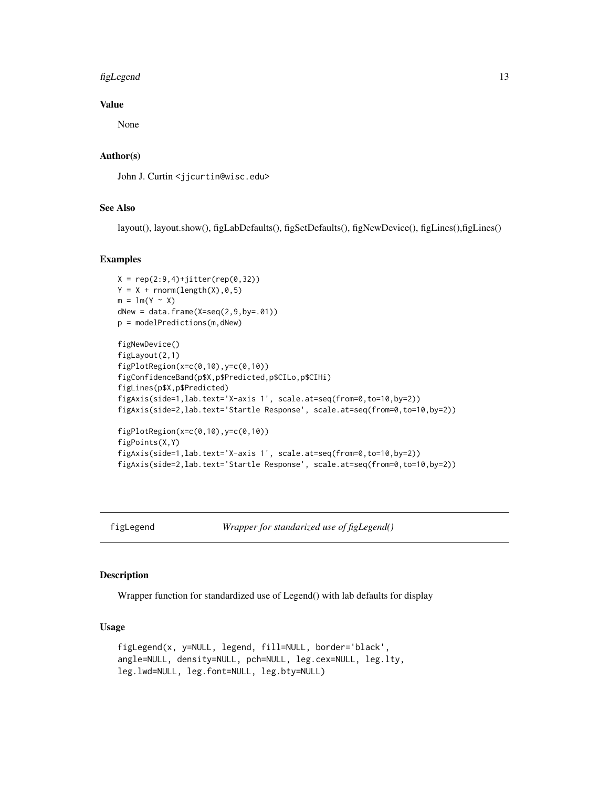#### <span id="page-12-0"></span>figLegend 13

### Value

None

# Author(s)

John J. Curtin <jjcurtin@wisc.edu>

# See Also

layout(), layout.show(), figLabDefaults(), figSetDefaults(), figNewDevice(), figLines(),figLines()

#### Examples

```
X = rep(2:9,4)+jitter(rep(0,32))Y = X + \text{norm}(\text{length}(X), 0, 5)m = lm(Y \sim X)dNew = data-frame(X=seq(2, 9, by=.01))p = modelPredictions(m,dNew)
figNewDevice()
figLayout(2,1)
figPlotRegion(x=c(0,10),y=c(0,10))
figConfidenceBand(p$X,p$Predicted,p$CILo,p$CIHi)
figLines(p$X,p$Predicted)
figAxis(side=1,lab.text='X-axis 1', scale.at=seq(from=0,to=10,by=2))
figAxis(side=2,lab.text='Startle Response', scale.at=seq(from=0,to=10,by=2))
figPlotRegion(x=c(0,10),y=c(0,10))
figPoints(X,Y)
figAxis(side=1,lab.text='X-axis 1', scale.at=seq(from=0,to=10,by=2))
figAxis(side=2,lab.text='Startle Response', scale.at=seq(from=0,to=10,by=2))
```
figLegend *Wrapper for standarized use of figLegend()*

# Description

Wrapper function for standardized use of Legend() with lab defaults for display

#### Usage

```
figLegend(x, y=NULL, legend, fill=NULL, border='black',
angle=NULL, density=NULL, pch=NULL, leg.cex=NULL, leg.lty,
leg.lwd=NULL, leg.font=NULL, leg.bty=NULL)
```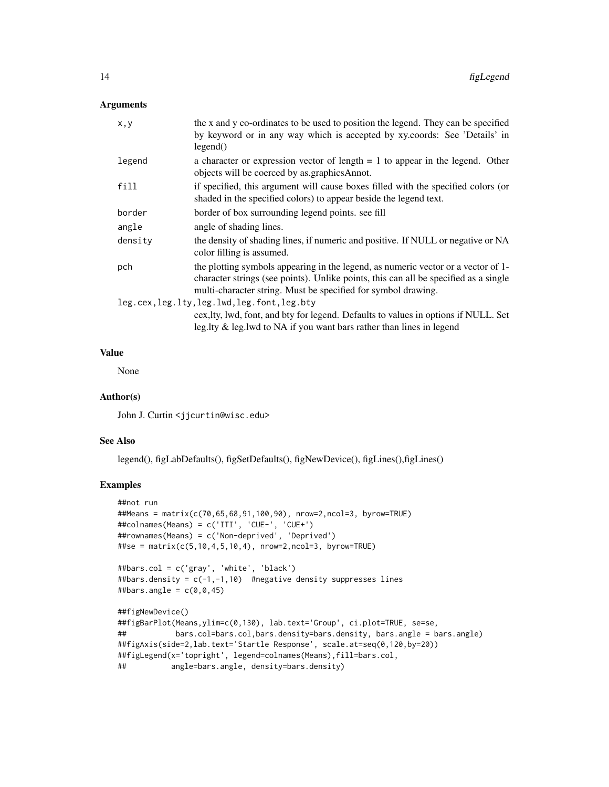# Arguments

| the x and y co-ordinates to be used to position the legend. They can be specified<br>by keyword or in any way which is accepted by xy.coords: See 'Details' in<br>legend()                                                                 |
|--------------------------------------------------------------------------------------------------------------------------------------------------------------------------------------------------------------------------------------------|
| a character or expression vector of length $= 1$ to appear in the legend. Other<br>objects will be coerced by as graphics Annot.                                                                                                           |
| if specified, this argument will cause boxes filled with the specified colors (or<br>shaded in the specified colors) to appear beside the legend text.                                                                                     |
| border of box surrounding legend points. see fill                                                                                                                                                                                          |
| angle of shading lines.                                                                                                                                                                                                                    |
| the density of shading lines, if numeric and positive. If NULL or negative or NA<br>color filling is assumed.                                                                                                                              |
| the plotting symbols appearing in the legend, as numeric vector or a vector of 1-<br>character strings (see points). Unlike points, this can all be specified as a single<br>multi-character string. Must be specified for symbol drawing. |
| leg.cex, leg.lty, leg.lwd, leg.font, leg.bty<br>cex, lty, lwd, font, and bty for legend. Defaults to values in options if NULL. Set<br>leg.lty $\&$ leg.lwd to NA if you want bars rather than lines in legend                             |
|                                                                                                                                                                                                                                            |

# Value

None

#### Author(s)

John J. Curtin <jjcurtin@wisc.edu>

#### See Also

legend(), figLabDefaults(), figSetDefaults(), figNewDevice(), figLines(),figLines()

```
##not run
##Means = matrix(c(70,65,68,91,100,90), nrow=2,ncol=3, byrow=TRUE)
##colnames(Means) = c('ITI', 'CUE-', 'CUE+')
##rownames(Means) = c('Non-deprived', 'Deprived')
##se = matrix(c(5,10,4,5,10,4), nrow=2,ncol=3, byrow=TRUE)
```

```
##bars.col = c('gray', 'white', 'black')
##bars.density = c(-1, -1, 10) #negative density suppresses lines
##bars.angle = c(\emptyset, \emptyset, 45)
```

```
##figNewDevice()
##figBarPlot(Means,ylim=c(0,130), lab.text='Group', ci.plot=TRUE, se=se,
## bars.col=bars.col,bars.density=bars.density, bars.angle = bars.angle)
##figAxis(side=2,lab.text='Startle Response', scale.at=seq(0,120,by=20))
##figLegend(x='topright', legend=colnames(Means),fill=bars.col,
## angle=bars.angle, density=bars.density)
```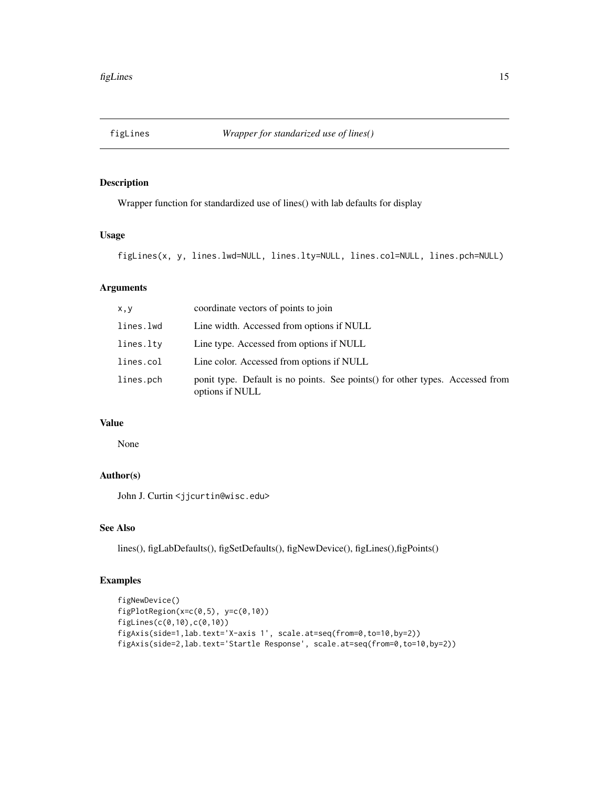<span id="page-14-0"></span>

Wrapper function for standardized use of lines() with lab defaults for display

# Usage

figLines(x, y, lines.lwd=NULL, lines.lty=NULL, lines.col=NULL, lines.pch=NULL)

# Arguments

| x, y      | coordinate vectors of points to join                                                              |
|-----------|---------------------------------------------------------------------------------------------------|
| lines.lwd | Line width. Accessed from options if NULL                                                         |
| lines.lty | Line type. Accessed from options if NULL                                                          |
| lines.col | Line color. Accessed from options if NULL                                                         |
| lines.pch | ponit type. Default is no points. See points () for other types. Accessed from<br>options if NULL |

# Value

None

# Author(s)

John J. Curtin <jjcurtin@wisc.edu>

# See Also

lines(), figLabDefaults(), figSetDefaults(), figNewDevice(), figLines(),figPoints()

```
figNewDevice()
figPlotRegion(x=c(0,5), y=c(0,10))
figLines(c(0,10),c(0,10))
figAxis(side=1,lab.text='X-axis 1', scale.at=seq(from=0,to=10,by=2))
figAxis(side=2,lab.text='Startle Response', scale.at=seq(from=0,to=10,by=2))
```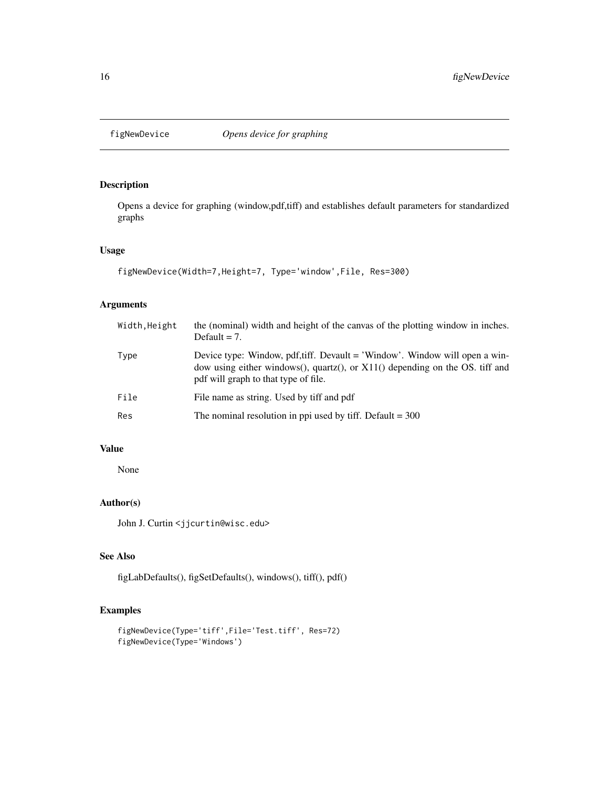<span id="page-15-0"></span>

Opens a device for graphing (window,pdf,tiff) and establishes default parameters for standardized graphs

#### Usage

```
figNewDevice(Width=7,Height=7, Type='window',File, Res=300)
```
# Arguments

| Width, Height | the (nominal) width and height of the canvas of the plotting window in inches.<br>Default $= 7$ .                                                                                                    |
|---------------|------------------------------------------------------------------------------------------------------------------------------------------------------------------------------------------------------|
| Type          | Device type: Window, pdf,tiff. Devault = 'Window'. Window will open a win-<br>dow using either windows(), quartz(), or $X11()$ depending on the OS. tiff and<br>pdf will graph to that type of file. |
| File          | File name as string. Used by tiff and pdf                                                                                                                                                            |
| Res           | The nominal resolution in ppi used by tiff. Default $=$ 300                                                                                                                                          |

# Value

None

# Author(s)

John J. Curtin <jjcurtin@wisc.edu>

# See Also

figLabDefaults(), figSetDefaults(), windows(), tiff(), pdf()

```
figNewDevice(Type='tiff',File='Test.tiff', Res=72)
figNewDevice(Type='Windows')
```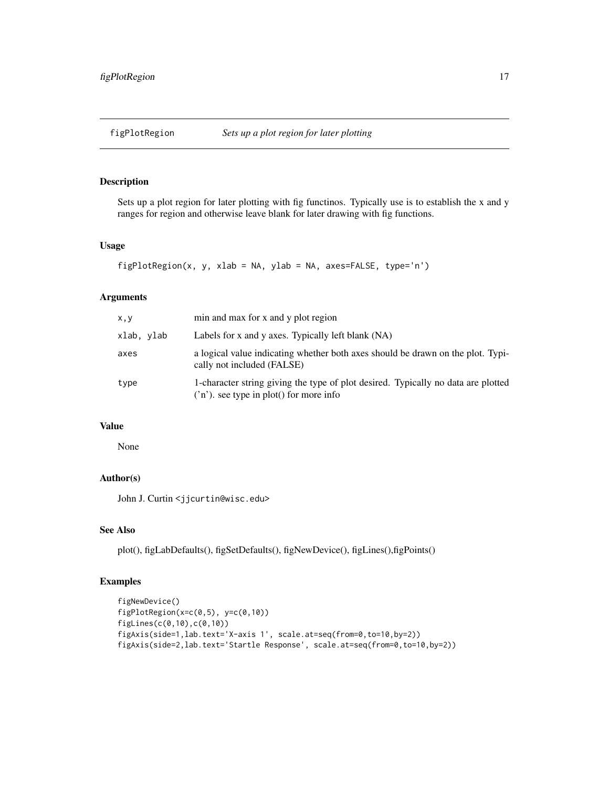<span id="page-16-0"></span>

Sets up a plot region for later plotting with fig functinos. Typically use is to establish the x and y ranges for region and otherwise leave blank for later drawing with fig functions.

#### Usage

```
figPlotRegion(x, y, xlab = NA, ylab = NA, axes=FALSE, type='n')
```
# Arguments

| x, y       | min and max for x and y plot region                                                                                          |
|------------|------------------------------------------------------------------------------------------------------------------------------|
| xlab, ylab | Labels for x and y axes. Typically left blank (NA)                                                                           |
| axes       | a logical value indicating whether both axes should be drawn on the plot. Typi-<br>cally not included (FALSE)                |
| type       | 1-character string giving the type of plot desired. Typically no data are plotted<br>('n'). see type in plot() for more info |

# Value

None

# Author(s)

John J. Curtin <jjcurtin@wisc.edu>

# See Also

plot(), figLabDefaults(), figSetDefaults(), figNewDevice(), figLines(),figPoints()

```
figNewDevice()
figPlotRegion(x=c(0,5), y=c(0,10))
figLines(c(0,10),c(0,10))
figAxis(side=1,lab.text='X-axis 1', scale.at=seq(from=0,to=10,by=2))
figAxis(side=2,lab.text='Startle Response', scale.at=seq(from=0,to=10,by=2))
```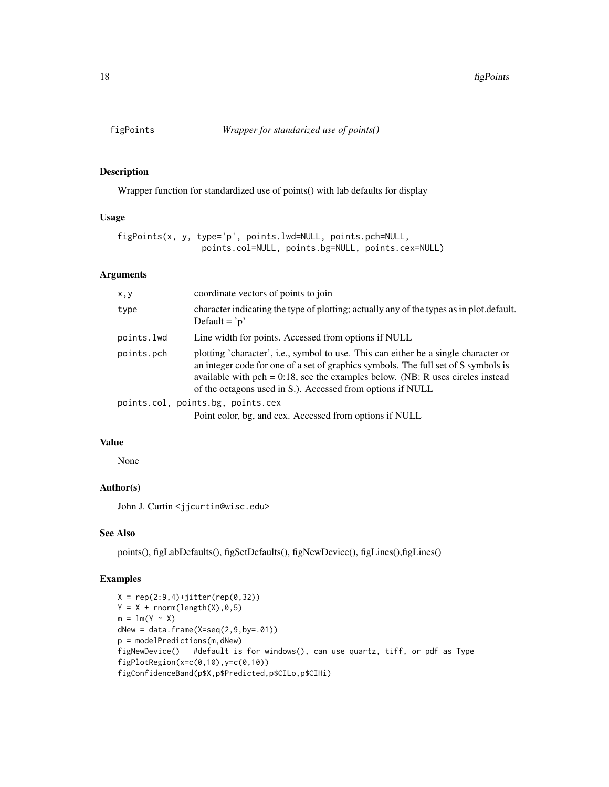<span id="page-17-0"></span>

Wrapper function for standardized use of points() with lab defaults for display

#### Usage

```
figPoints(x, y, type='p', points.lwd=NULL, points.pch=NULL,
                 points.col=NULL, points.bg=NULL, points.cex=NULL)
```
#### Arguments

| x, y       | coordinate vectors of points to join                                                                                                                                                                                                                                                                                         |
|------------|------------------------------------------------------------------------------------------------------------------------------------------------------------------------------------------------------------------------------------------------------------------------------------------------------------------------------|
| type       | character indicating the type of plotting; actually any of the types as in plot.default.<br>Default = $\dot{p}$                                                                                                                                                                                                              |
| points.lwd | Line width for points. Accessed from options if NULL                                                                                                                                                                                                                                                                         |
| points.pch | plotting 'character', i.e., symbol to use. This can either be a single character or<br>an integer code for one of a set of graphics symbols. The full set of S symbols is<br>available with pch = $0.18$ , see the examples below. (NB: R uses circles instead<br>of the octagons used in S.). Accessed from options if NULL |
|            | points.col, points.bg, points.cex                                                                                                                                                                                                                                                                                            |
|            | Point color, bg, and cex. Accessed from options if NULL                                                                                                                                                                                                                                                                      |

# Value

None

#### Author(s)

John J. Curtin <jjcurtin@wisc.edu>

# See Also

points(), figLabDefaults(), figSetDefaults(), figNewDevice(), figLines(),figLines()

```
X = rep(2:9,4)+jitter(rep(0,32))Y = X + \text{norm}(\text{length}(X), 0, 5)m = lm(Y \sim X)dNew = data.frame(X=seq(2, 9, by=.01))p = modelPredictions(m,dNew)
figNewDevice() #default is for windows(), can use quartz, tiff, or pdf as Type
figPlotRegion(x=c(0,10),y=c(0,10))
figConfidenceBand(p$X,p$Predicted,p$CILo,p$CIHi)
```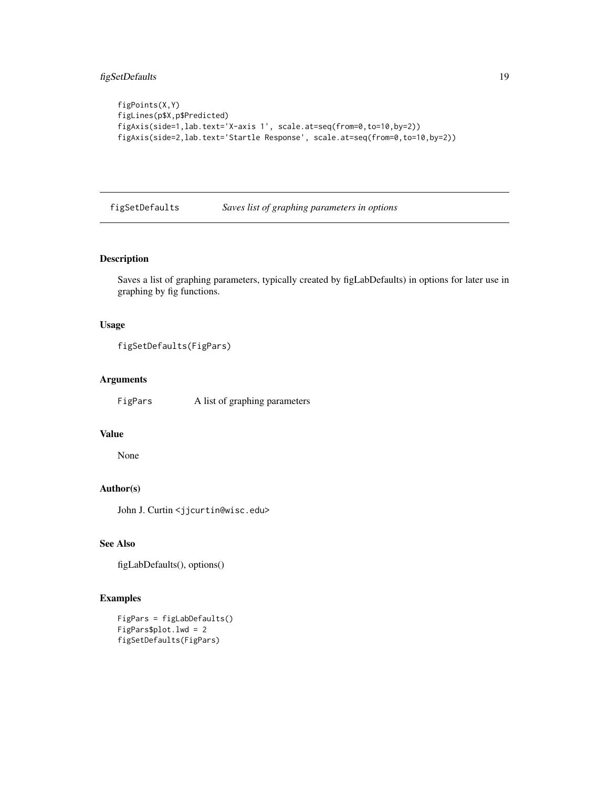```
figPoints(X,Y)
figLines(p$X,p$Predicted)
figAxis(side=1,lab.text='X-axis 1', scale.at=seq(from=0,to=10,by=2))
figAxis(side=2,lab.text='Startle Response', scale.at=seq(from=0,to=10,by=2))
```
figSetDefaults *Saves list of graphing parameters in options*

# Description

Saves a list of graphing parameters, typically created by figLabDefaults) in options for later use in graphing by fig functions.

#### Usage

```
figSetDefaults(FigPars)
```
#### Arguments

FigPars A list of graphing parameters

# Value

None

# Author(s)

John J. Curtin <jjcurtin@wisc.edu>

# See Also

```
figLabDefaults(), options()
```

```
FigPars = figLabDefaults()
FigPars$plot.lwd = 2
figSetDefaults(FigPars)
```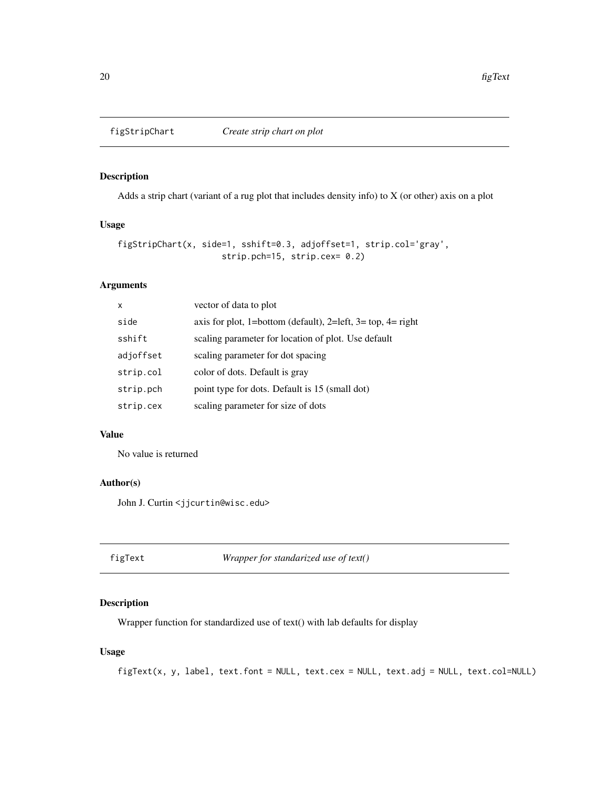<span id="page-19-1"></span><span id="page-19-0"></span>

Adds a strip chart (variant of a rug plot that includes density info) to X (or other) axis on a plot

# Usage

```
figStripChart(x, side=1, sshift=0.3, adjoffset=1, strip.col='gray',
                     strip.pch=15, strip.cex= 0.2)
```
# Arguments

| $\mathsf{x}$ | vector of data to plot                                      |
|--------------|-------------------------------------------------------------|
| side         | axis for plot, 1=bottom (default), 2=left, 3= top, 4= right |
| sshift       | scaling parameter for location of plot. Use default         |
| adjoffset    | scaling parameter for dot spacing                           |
| strip.col    | color of dots. Default is gray                              |
| strip.pch    | point type for dots. Default is 15 (small dot)              |
| strip.cex    | scaling parameter for size of dots                          |

# Value

No value is returned

# Author(s)

John J. Curtin <jjcurtin@wisc.edu>

figText *Wrapper for standarized use of text()*

#### Description

Wrapper function for standardized use of text() with lab defaults for display

# Usage

```
figText(x, y, label, text.font = NULL, text.cex = NULL, text.adj = NULL, text.col=NULL)
```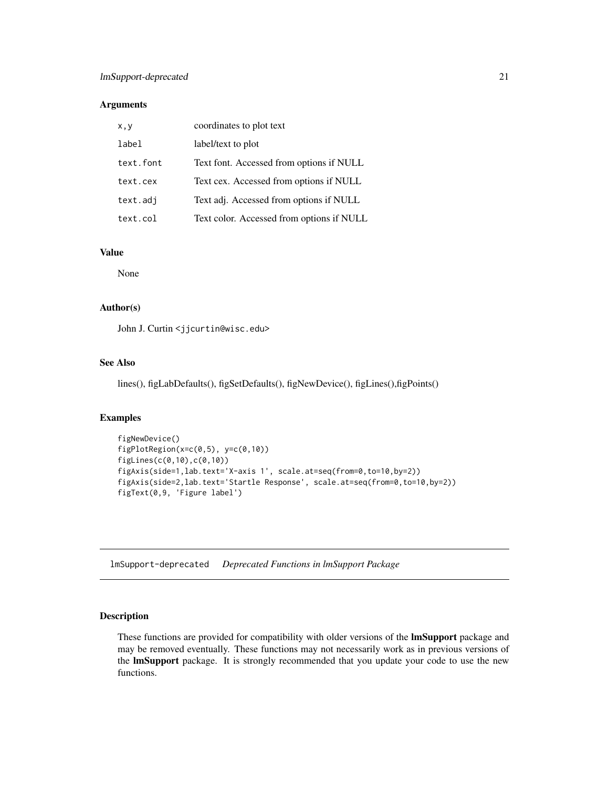# <span id="page-20-0"></span>Arguments

| x, y      | coordinates to plot text                  |
|-----------|-------------------------------------------|
| label     | label/text to plot                        |
| text.font | Text font. Accessed from options if NULL  |
| text.cex  | Text cex. Accessed from options if NULL   |
| text.adj  | Text adj. Accessed from options if NULL   |
| text.col  | Text color. Accessed from options if NULL |

# Value

None

# Author(s)

John J. Curtin <jjcurtin@wisc.edu>

#### See Also

lines(), figLabDefaults(), figSetDefaults(), figNewDevice(), figLines(),figPoints()

# Examples

```
figNewDevice()
figPlotRegion(x=c(0,5), y=c(0,10))
figLines(c(0,10),c(0,10))
figAxis(side=1,lab.text='X-axis 1', scale.at=seq(from=0,to=10,by=2))
figAxis(side=2,lab.text='Startle Response', scale.at=seq(from=0,to=10,by=2))
figText(0,9, 'Figure label')
```
lmSupport-deprecated *Deprecated Functions in lmSupport Package*

#### Description

These functions are provided for compatibility with older versions of the **lmSupport** package and may be removed eventually. These functions may not necessarily work as in previous versions of the lmSupport package. It is strongly recommended that you update your code to use the new functions.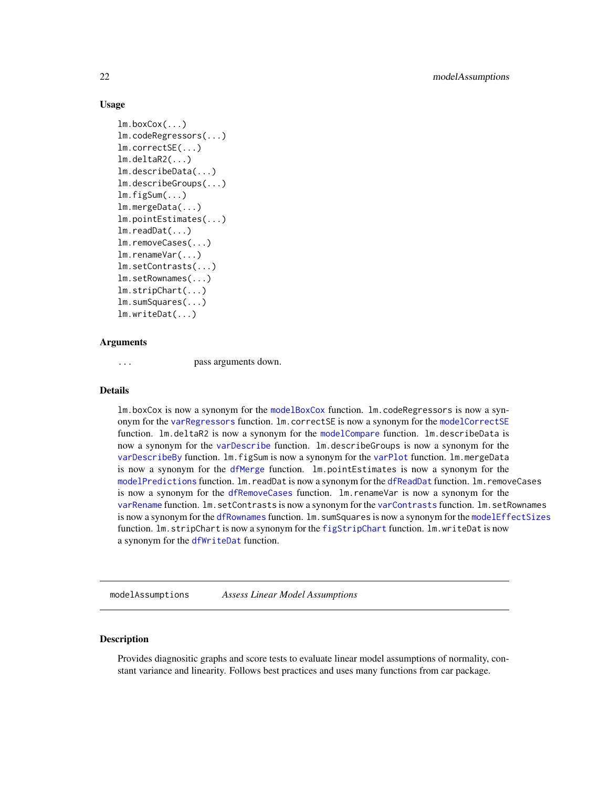#### <span id="page-21-0"></span>Usage

```
lm.boxCox(...)
lm.codeRegressors(...)
lm.correctSE(...)
lm.deltaR2(...)
lm.describeData(...)
lm.describeGroups(...)
lm.figSum(...)
lm.mergeData(...)
lm.pointEstimates(...)
lm.readDat(...)
lm.removeCases(...)
lm.renameVar(...)
lm.setContrasts(...)
lm.setRownames(...)
lm.stripChart(...)
lm.sumSquares(...)
lm.writeDat(...)
```
#### Arguments

```
... pass arguments down.
```
#### Details

lm.boxCox is now a synonym for the [modelBoxCox](#page-22-1) function. lm.codeRegressors is now a synonym for the [varRegressors](#page-40-1) function. lm.correctSE is now a synonym for the [modelCorrectSE](#page-25-1) function. lm.deltaR2 is now a synonym for the [modelCompare](#page-24-1) function. lm.describeData is now a synonym for the [varDescribe](#page-34-1) function. lm.describeGroups is now a synonym for the [varDescribeBy](#page-35-1) function. lm.figSum is now a synonym for the [varPlot](#page-38-1) function. lm.mergeData is now a synonym for the [dfMerge](#page-2-1) function. lm.pointEstimates is now a synonym for the [modelPredictions](#page-29-1) function. lm.readDat is now a synonym for the [dfReadDat](#page-3-1) function. lm.removeCases is now a synonym for the [dfRemoveCases](#page-4-1) function. lm.renameVar is now a synonym for the [varRename](#page-40-2) function. lm.setContrasts is now a synonym for the [varContrasts](#page-32-1) function. lm.setRownames is now a synonym for the [dfRownames](#page-5-1) function. lm.sumSquares is now a synonym for the [modelEffectSizes](#page-26-1) function. lm.stripChart is now a synonym for the [figStripChart](#page-19-1) function. lm.writeDat is now a synonym for the [dfWriteDat](#page-6-1) function.

modelAssumptions *Assess Linear Model Assumptions*

#### Description

Provides diagnositic graphs and score tests to evaluate linear model assumptions of normality, constant variance and linearity. Follows best practices and uses many functions from car package.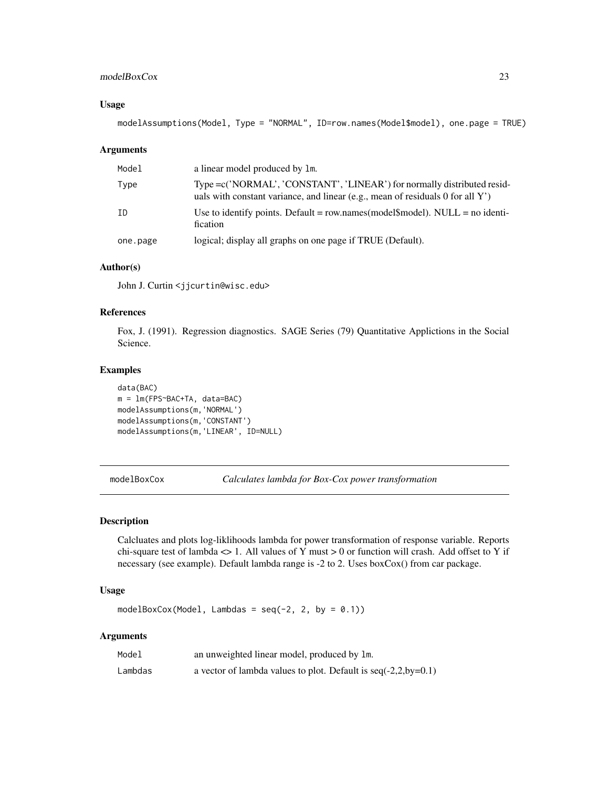# <span id="page-22-0"></span>modelBoxCox 23

#### Usage

```
modelAssumptions(Model, Type = "NORMAL", ID=row.names(Model$model), one.page = TRUE)
```
#### Arguments

| Model    | a linear model produced by 1m.                                                                                                                             |
|----------|------------------------------------------------------------------------------------------------------------------------------------------------------------|
| Type     | Type = c('NORMAL', 'CONSTANT', 'LINEAR') for normally distributed resid-<br>uals with constant variance, and linear (e.g., mean of residuals 0 for all Y') |
| ΙD       | Use to identify points. Default = row.names(model\model\model). NULL = no identi-<br>fication                                                              |
| one.page | logical; display all graphs on one page if TRUE (Default).                                                                                                 |

# Author(s)

John J. Curtin <jjcurtin@wisc.edu>

# References

Fox, J. (1991). Regression diagnostics. SAGE Series (79) Quantitative Applictions in the Social Science.

#### Examples

```
data(BAC)
m = lm(FPS~BAC+TA, data=BAC)
modelAssumptions(m,'NORMAL')
modelAssumptions(m,'CONSTANT')
modelAssumptions(m,'LINEAR', ID=NULL)
```
<span id="page-22-1"></span>modelBoxCox *Calculates lambda for Box-Cox power transformation*

#### Description

Calcluates and plots log-liklihoods lambda for power transformation of response variable. Reports chi-square test of lambda <> 1. All values of Y must > 0 or function will crash. Add offset to Y if necessary (see example). Default lambda range is -2 to 2. Uses boxCox() from car package.

# Usage

```
modelBoxCox(Model, Lambdas = seq(-2, 2, by = 0.1))
```
#### Arguments

| Model   | an unweighted linear model, produced by 1m.                      |
|---------|------------------------------------------------------------------|
| Lambdas | a vector of lambda values to plot. Default is $seq(-2,2,by=0.1)$ |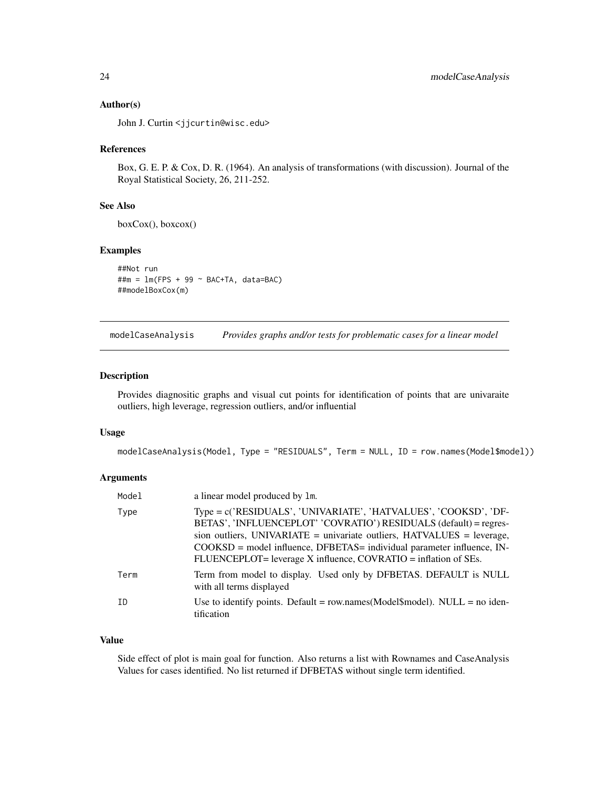#### <span id="page-23-0"></span>Author(s)

John J. Curtin <jjcurtin@wisc.edu>

#### References

Box, G. E. P. & Cox, D. R. (1964). An analysis of transformations (with discussion). Journal of the Royal Statistical Society, 26, 211-252.

#### See Also

boxCox(), boxcox()

# Examples

##Not run  $\#+m = \text{lm(FPS} + 99 \sim \text{BAC+TA}, \text{data=BAC})$ ##modelBoxCox(m)

modelCaseAnalysis *Provides graphs and/or tests for problematic cases for a linear model*

# Description

Provides diagnositic graphs and visual cut points for identification of points that are univaraite outliers, high leverage, regression outliers, and/or influential

#### Usage

```
modelCaseAnalysis(Model, Type = "RESIDUALS", Term = NULL, ID = row.names(Model$model))
```
#### Arguments

| Model | a linear model produced by 1m.                                                                                                                                                                                                                                                                                                                                   |
|-------|------------------------------------------------------------------------------------------------------------------------------------------------------------------------------------------------------------------------------------------------------------------------------------------------------------------------------------------------------------------|
| Type  | Type = c('RESIDUALS', 'UNIVARIATE', 'HATVALUES', 'COOKSD', 'DF-<br>BETAS', 'INFLUENCEPLOT' 'COVRATIO') RESIDUALS (default) = regres-<br>sion outliers, UNIVARIATE = univariate outliers, $HATVALUES$ = leverage,<br>$COOKSD$ = model influence, DFBETAS = individual parameter influence, IN-<br>FLUENCEPLOT= leverage X influence, COVRATIO = inflation of SEs. |
| Term  | Term from model to display. Used only by DFBETAS. DEFAULT is NULL<br>with all terms displayed                                                                                                                                                                                                                                                                    |
| TD.   | Use to identify points. Default = $row.name(Model$model)$ . NULL = $no$ iden-<br>tification                                                                                                                                                                                                                                                                      |

#### Value

Side effect of plot is main goal for function. Also returns a list with Rownames and CaseAnalysis Values for cases identified. No list returned if DFBETAS without single term identified.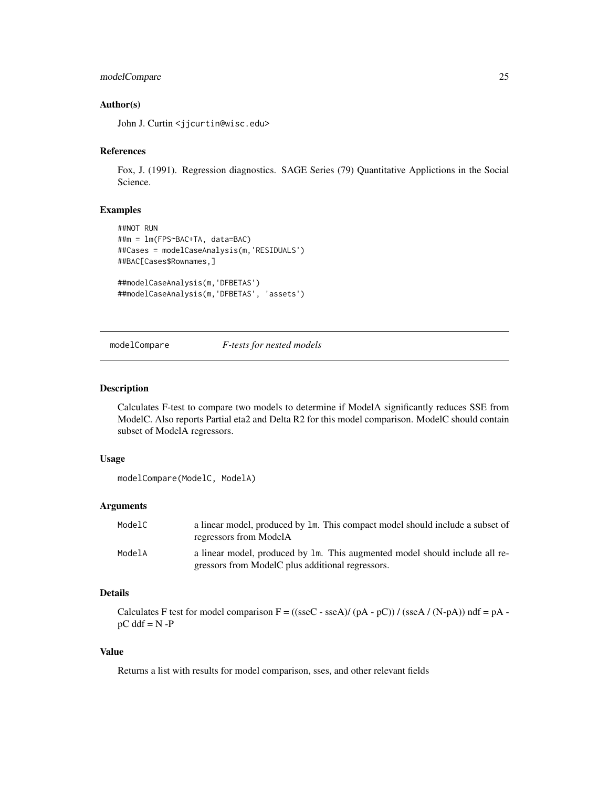# <span id="page-24-0"></span>modelCompare 25

#### Author(s)

John J. Curtin <jjcurtin@wisc.edu>

#### References

Fox, J. (1991). Regression diagnostics. SAGE Series (79) Quantitative Applictions in the Social Science.

#### Examples

```
##NOT RUN
##m = lm(FPS~BAC+TA, data=BAC)
##Cases = modelCaseAnalysis(m,'RESIDUALS')
##BAC[Cases$Rownames,]
##modelCaseAnalysis(m,'DFBETAS')
##modelCaseAnalysis(m,'DFBETAS', 'assets')
```
# <span id="page-24-1"></span>modelCompare *F-tests for nested models*

# Description

Calculates F-test to compare two models to determine if ModelA significantly reduces SSE from ModelC. Also reports Partial eta2 and Delta R2 for this model comparison. ModelC should contain subset of ModelA regressors.

#### Usage

modelCompare(ModelC, ModelA)

#### Arguments

| ModelC | a linear model, produced by 1m. This compact model should include a subset of<br>regressors from ModelA |
|--------|---------------------------------------------------------------------------------------------------------|
| ModelA | a linear model, produced by 1m. This augmented model should include all re-                             |
|        | gressors from ModelC plus additional regressors.                                                        |

#### Details

Calculates F test for model comparison  $F = ((\text{sseC} - \text{sseA})/(pA - pC))/(\text{sseA}/(N-pA))$  ndf = pA  $pC$  ddf =  $N - P$ 

# Value

Returns a list with results for model comparison, sses, and other relevant fields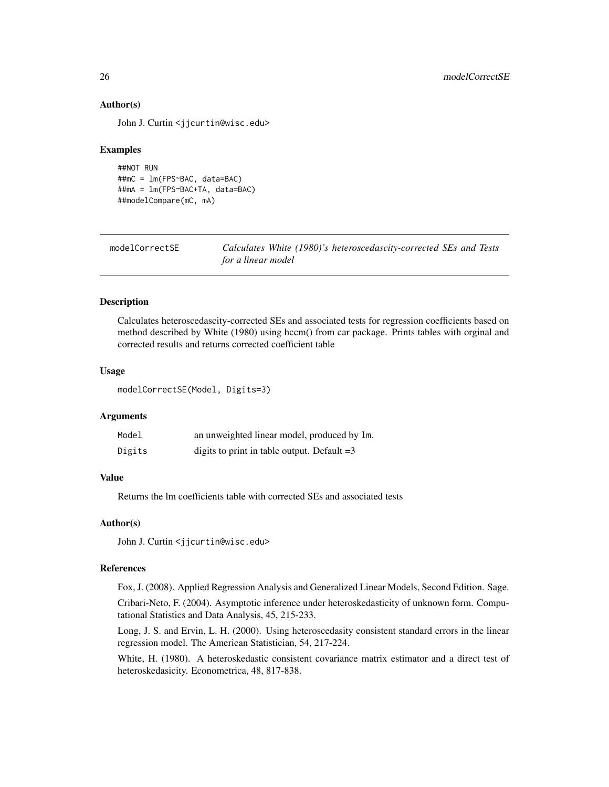# Author(s)

John J. Curtin <jjcurtin@wisc.edu>

#### Examples

```
##NOT RUN
##mC = lm(FPS~BAC, data=BAC)
##mA = lm(FPS~BAC+TA, data=BAC)
##modelCompare(mC, mA)
```
<span id="page-25-1"></span>

| modelCorrectSE | Calculates White (1980)'s heteroscedascity-corrected SEs and Tests |
|----------------|--------------------------------------------------------------------|
|                | for a linear model                                                 |

# Description

Calculates heteroscedascity-corrected SEs and associated tests for regression coefficients based on method described by White (1980) using hccm() from car package. Prints tables with orginal and corrected results and returns corrected coefficient table

### Usage

```
modelCorrectSE(Model, Digits=3)
```
#### Arguments

| Model  | an unweighted linear model, produced by 1m.   |
|--------|-----------------------------------------------|
| Digits | digits to print in table output. Default $=3$ |

#### Value

Returns the lm coefficients table with corrected SEs and associated tests

#### Author(s)

John J. Curtin <jjcurtin@wisc.edu>

### References

Fox, J. (2008). Applied Regression Analysis and Generalized Linear Models, Second Edition. Sage.

Cribari-Neto, F. (2004). Asymptotic inference under heteroskedasticity of unknown form. Computational Statistics and Data Analysis, 45, 215-233.

Long, J. S. and Ervin, L. H. (2000). Using heteroscedasity consistent standard errors in the linear regression model. The American Statistician, 54, 217-224.

White, H. (1980). A heteroskedastic consistent covariance matrix estimator and a direct test of heteroskedasicity. Econometrica, 48, 817-838.

<span id="page-25-0"></span>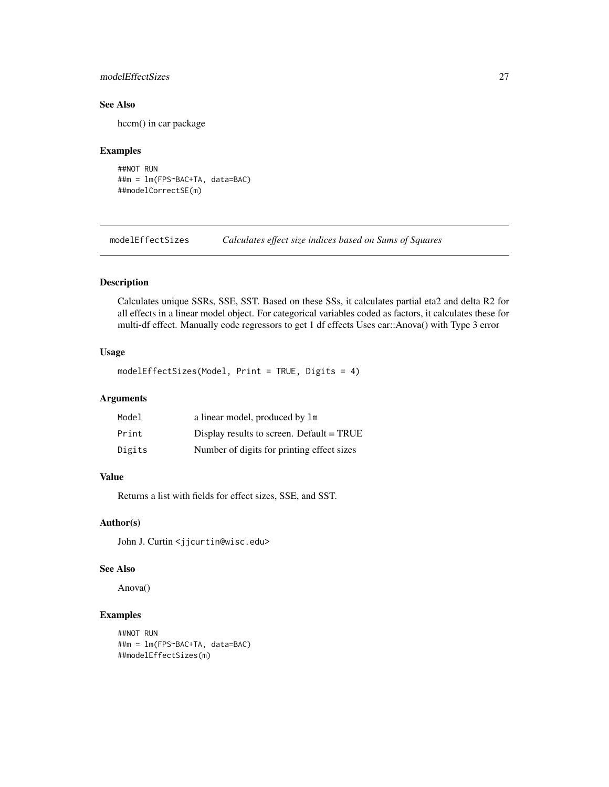# <span id="page-26-0"></span>modelEffectSizes 27

# See Also

hccm() in car package

# Examples

```
##NOT RUN
##m = lm(FPS~BAC+TA, data=BAC)
##modelCorrectSE(m)
```
<span id="page-26-1"></span>modelEffectSizes *Calculates effect size indices based on Sums of Squares*

# Description

Calculates unique SSRs, SSE, SST. Based on these SSs, it calculates partial eta2 and delta R2 for all effects in a linear model object. For categorical variables coded as factors, it calculates these for multi-df effect. Manually code regressors to get 1 df effects Uses car::Anova() with Type 3 error

#### Usage

```
modelEffectSizes(Model, Print = TRUE, Digits = 4)
```
# Arguments

| Model  | a linear model, produced by 1m              |
|--------|---------------------------------------------|
| Print  | Display results to screen. Default $= TRUE$ |
| Digits | Number of digits for printing effect sizes  |

# Value

Returns a list with fields for effect sizes, SSE, and SST.

#### Author(s)

John J. Curtin <jjcurtin@wisc.edu>

#### See Also

Anova()

```
##NOT RUN
##m = lm(FPS~BAC+TA, data=BAC)
##modelEffectSizes(m)
```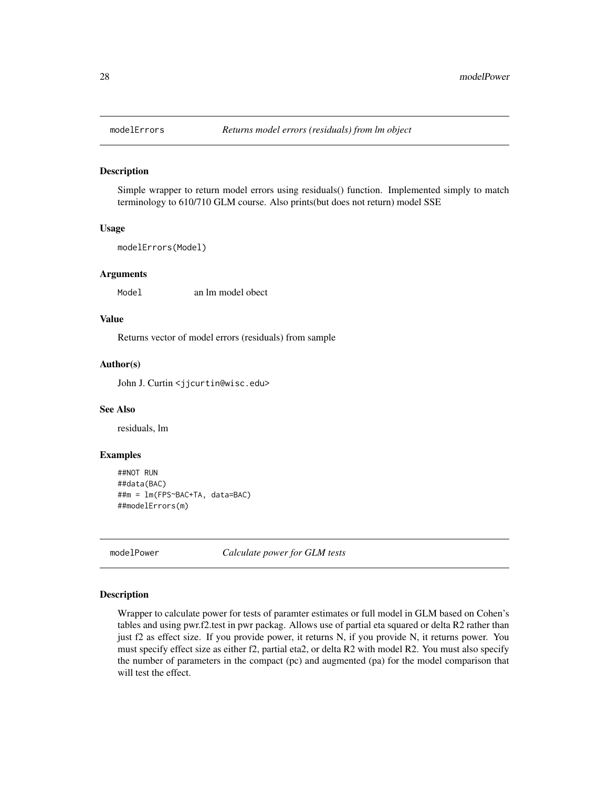Simple wrapper to return model errors using residuals() function. Implemented simply to match terminology to 610/710 GLM course. Also prints(but does not return) model SSE

#### Usage

```
modelErrors(Model)
```
#### Arguments

Model an lm model obect

# Value

Returns vector of model errors (residuals) from sample

#### Author(s)

John J. Curtin <jjcurtin@wisc.edu>

# See Also

residuals, lm

#### Examples

```
##NOT RUN
##data(BAC)
##m = lm(FPS~BAC+TA, data=BAC)
##modelErrors(m)
```
modelPower *Calculate power for GLM tests*

#### Description

Wrapper to calculate power for tests of paramter estimates or full model in GLM based on Cohen's tables and using pwr.f2.test in pwr packag. Allows use of partial eta squared or delta R2 rather than just f2 as effect size. If you provide power, it returns N, if you provide N, it returns power. You must specify effect size as either f2, partial eta2, or delta R2 with model R2. You must also specify the number of parameters in the compact (pc) and augmented (pa) for the model comparison that will test the effect.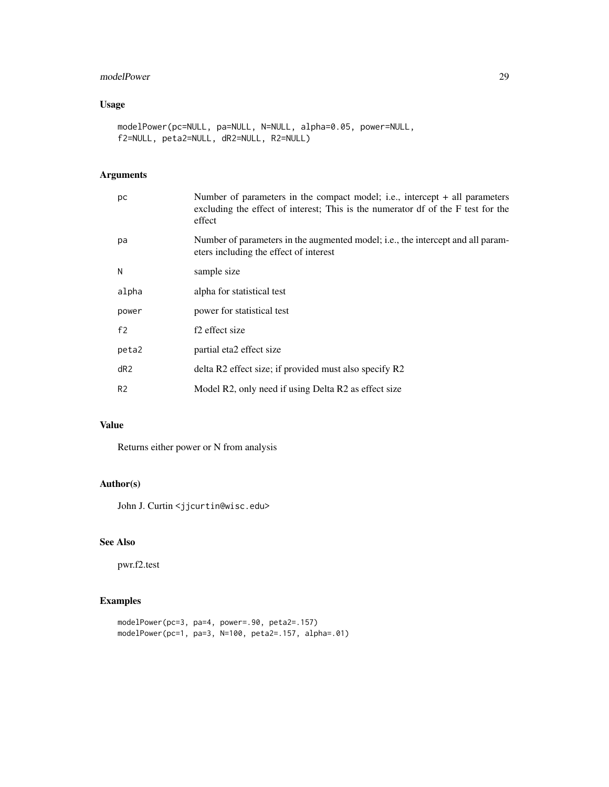# modelPower 29

# Usage

```
modelPower(pc=NULL, pa=NULL, N=NULL, alpha=0.05, power=NULL,
f2=NULL, peta2=NULL, dR2=NULL, R2=NULL)
```
# Arguments

| рc              | Number of parameters in the compact model; i.e., intercept + all parameters<br>excluding the effect of interest; This is the numerator df of the F test for the<br>effect |
|-----------------|---------------------------------------------------------------------------------------------------------------------------------------------------------------------------|
| pa              | Number of parameters in the augmented model; i.e., the intercept and all param-<br>eters including the effect of interest                                                 |
| N               | sample size                                                                                                                                                               |
| alpha           | alpha for statistical test                                                                                                                                                |
| power           | power for statistical test                                                                                                                                                |
| f2              | f <sub>2</sub> effect size                                                                                                                                                |
| peta2           | partial eta2 effect size                                                                                                                                                  |
| dR <sub>2</sub> | delta R2 effect size; if provided must also specify R2                                                                                                                    |
| R <sub>2</sub>  | Model R2, only need if using Delta R2 as effect size                                                                                                                      |

#### Value

Returns either power or N from analysis

# Author(s)

John J. Curtin <jjcurtin@wisc.edu>

# See Also

pwr.f2.test

```
modelPower(pc=3, pa=4, power=.90, peta2=.157)
modelPower(pc=1, pa=3, N=100, peta2=.157, alpha=.01)
```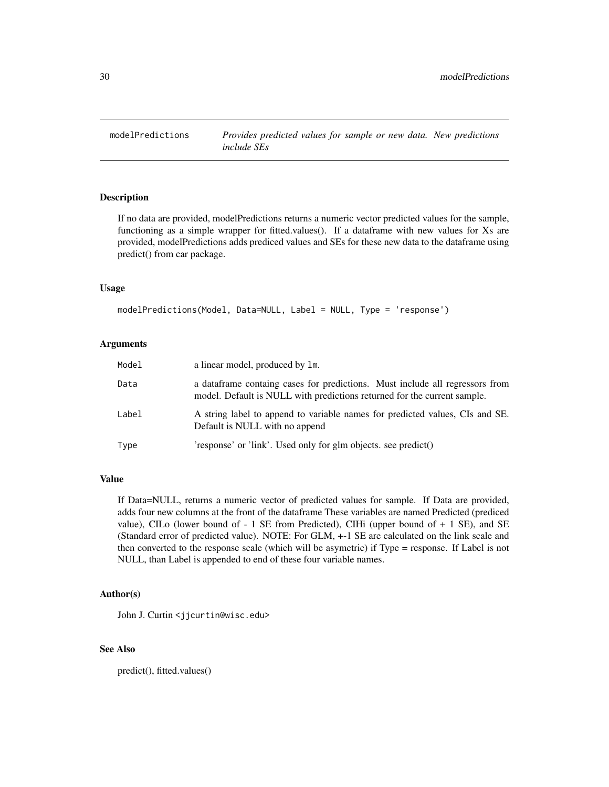<span id="page-29-1"></span><span id="page-29-0"></span>

If no data are provided, modelPredictions returns a numeric vector predicted values for the sample, functioning as a simple wrapper for fitted.values(). If a dataframe with new values for Xs are provided, modelPredictions adds prediced values and SEs for these new data to the dataframe using predict() from car package.

#### Usage

```
modelPredictions(Model, Data=NULL, Label = NULL, Type = 'response')
```
# Arguments

| Model | a linear model, produced by 1m.                                                                                                                           |
|-------|-----------------------------------------------------------------------------------------------------------------------------------------------------------|
| Data  | a data frame containg cases for predictions. Must include all regressors from<br>model. Default is NULL with predictions returned for the current sample. |
| Label | A string label to append to variable names for predicted values, CIs and SE.<br>Default is NULL with no append                                            |
| Type  | 'response' or 'link'. Used only for glm objects. see predict()                                                                                            |

#### Value

If Data=NULL, returns a numeric vector of predicted values for sample. If Data are provided, adds four new columns at the front of the dataframe These variables are named Predicted (prediced value), CILo (lower bound of  $-1$  SE from Predicted), CIHi (upper bound of  $+1$  SE), and SE (Standard error of predicted value). NOTE: For GLM, +-1 SE are calculated on the link scale and then converted to the response scale (which will be asymetric) if Type = response. If Label is not NULL, than Label is appended to end of these four variable names.

# Author(s)

John J. Curtin <jjcurtin@wisc.edu>

# See Also

predict(), fitted.values()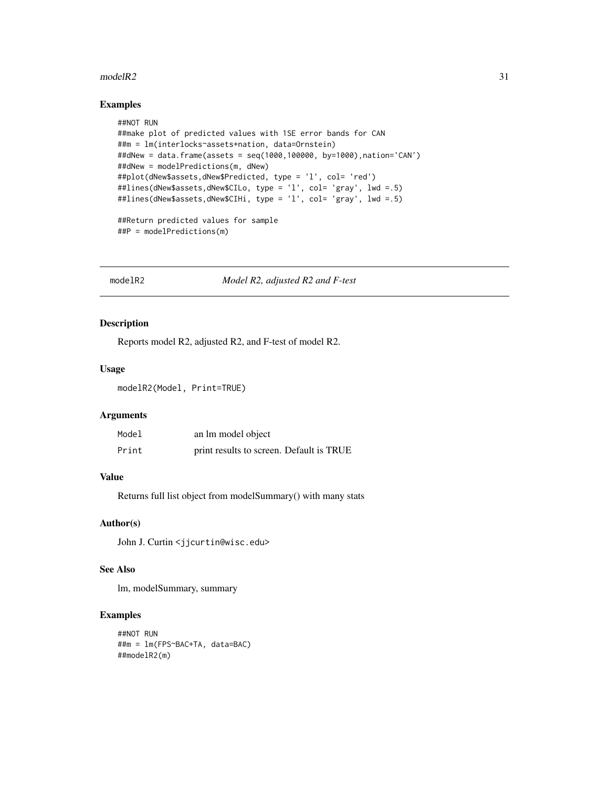#### <span id="page-30-0"></span> $modelR2$  31

#### Examples

```
##NOT RUN
##make plot of predicted values with 1SE error bands for CAN
##m = lm(interlocks~assets+nation, data=Ornstein)
##dNew = data.frame(assets = seq(1000,100000, by=1000),nation='CAN')
##dNew = modelPredictions(m, dNew)
##plot(dNew$assets,dNew$Predicted, type = 'l', col= 'red')
##lines(dNew$assets,dNew$CILo, type = 'l', col= 'gray', lwd =.5)
##lines(dNew$assets,dNew$CIHi, type = 'l', col= 'gray', lwd =.5)
##Return predicted values for sample
##P = modelPredictions(m)
```
modelR2 *Model R2, adjusted R2 and F-test*

# Description

Reports model R2, adjusted R2, and F-test of model R2.

#### Usage

modelR2(Model, Print=TRUE)

# Arguments

| Model | an lm model object                       |  |
|-------|------------------------------------------|--|
| Print | print results to screen. Default is TRUE |  |

#### Value

Returns full list object from modelSummary() with many stats

#### Author(s)

John J. Curtin <jjcurtin@wisc.edu>

#### See Also

lm, modelSummary, summary

```
##NOT RUN
##m = lm(FPS~BAC+TA, data=BAC)
##modelR2(m)
```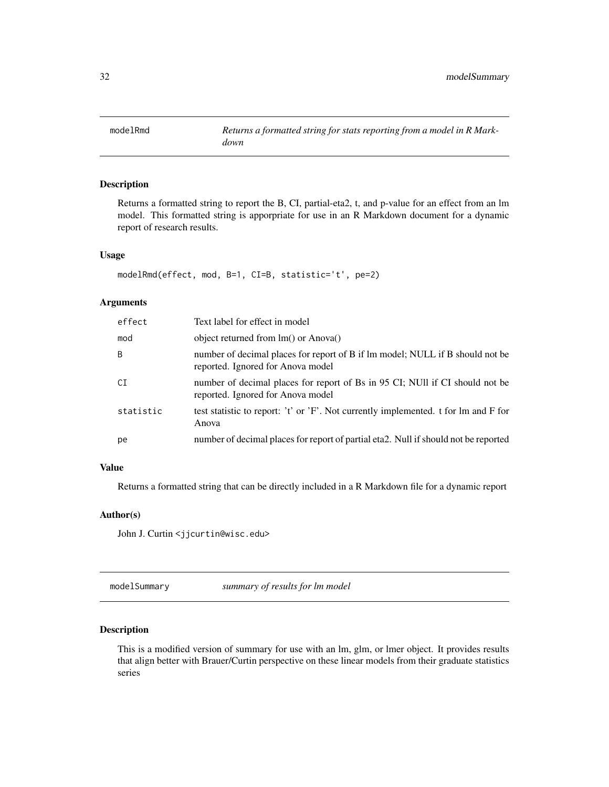<span id="page-31-0"></span>

Returns a formatted string to report the B, CI, partial-eta2, t, and p-value for an effect from an lm model. This formatted string is apporpriate for use in an R Markdown document for a dynamic report of research results.

#### Usage

```
modelRmd(effect, mod, B=1, CI=B, statistic='t', pe=2)
```
# Arguments

| effect    | Text label for effect in model                                                                                     |
|-----------|--------------------------------------------------------------------------------------------------------------------|
| mod       | object returned from lm() or Anova()                                                                               |
| B         | number of decimal places for report of B if lm model; NULL if B should not be<br>reported. Ignored for Anova model |
| СI        | number of decimal places for report of Bs in 95 CI; NUII if CI should not be<br>reported. Ignored for Anova model  |
| statistic | test statistic to report: 't' or 'F'. Not currently implemented. t for lm and F for<br>Anova                       |
| pe        | number of decimal places for report of partial eta2. Null if should not be reported                                |

# Value

Returns a formatted string that can be directly included in a R Markdown file for a dynamic report

# Author(s)

John J. Curtin <jjcurtin@wisc.edu>

modelSummary *summary of results for lm model*

# Description

This is a modified version of summary for use with an lm, glm, or lmer object. It provides results that align better with Brauer/Curtin perspective on these linear models from their graduate statistics series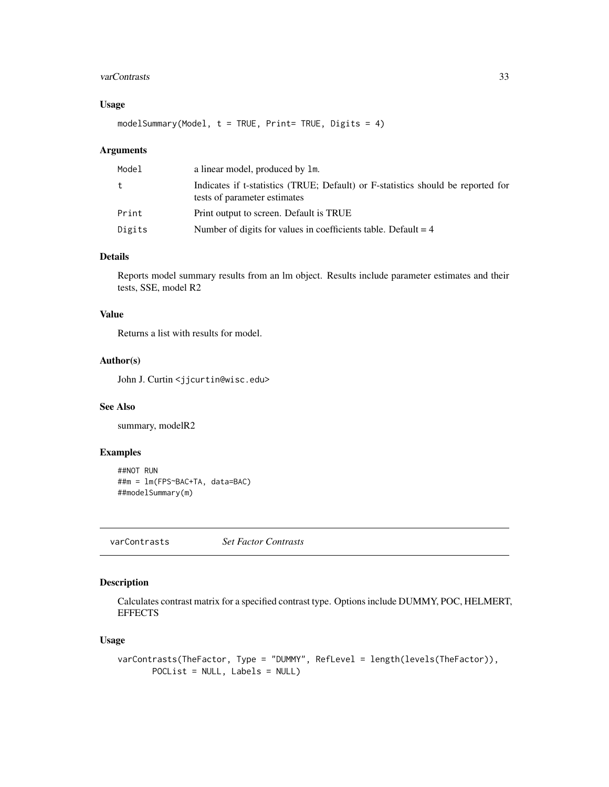# <span id="page-32-0"></span>varContrasts 33

# Usage

modelSummary(Model,  $t = TRUE$ , Print= TRUE, Digits = 4)

# Arguments

| Model  | a linear model, produced by 1m.                                                                                  |
|--------|------------------------------------------------------------------------------------------------------------------|
| t.     | Indicates if t-statistics (TRUE; Default) or F-statistics should be reported for<br>tests of parameter estimates |
| Print  | Print output to screen. Default is TRUE                                                                          |
| Digits | Number of digits for values in coefficients table. Default $= 4$                                                 |

# Details

Reports model summary results from an lm object. Results include parameter estimates and their tests, SSE, model R2

#### Value

Returns a list with results for model.

# Author(s)

John J. Curtin <jjcurtin@wisc.edu>

# See Also

summary, modelR2

# Examples

```
##NOT RUN
##m = lm(FPS~BAC+TA, data=BAC)
##modelSummary(m)
```
<span id="page-32-1"></span>varContrasts *Set Factor Contrasts*

# Description

Calculates contrast matrix for a specified contrast type. Options include DUMMY, POC, HELMERT, **EFFECTS** 

#### Usage

```
varContrasts(TheFactor, Type = "DUMMY", RefLevel = length(levels(TheFactor)),
      POCList = NULL, Labels = NULL)
```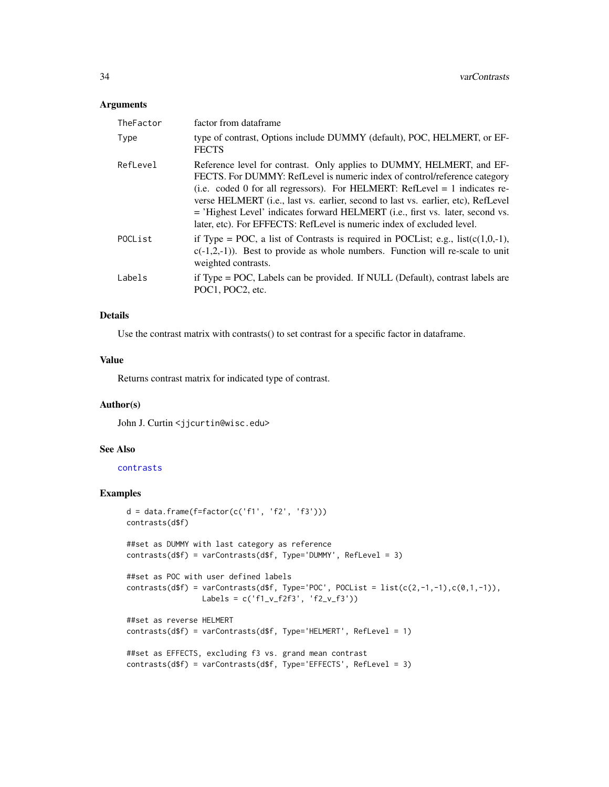#### <span id="page-33-0"></span>Arguments

| TheFactor | factor from dataframe                                                                                                                                                                                                                                                                                                                                                                                                                                                                        |
|-----------|----------------------------------------------------------------------------------------------------------------------------------------------------------------------------------------------------------------------------------------------------------------------------------------------------------------------------------------------------------------------------------------------------------------------------------------------------------------------------------------------|
| Type      | type of contrast, Options include DUMMY (default), POC, HELMERT, or EF-<br><b>FECTS</b>                                                                                                                                                                                                                                                                                                                                                                                                      |
| RefLevel  | Reference level for contrast. Only applies to DUMMY, HELMERT, and EF-<br>FECTS. For DUMMY: RefLevel is numeric index of control/reference category<br>(i.e. coded 0 for all regressors). For HELMERT: RefLevel $= 1$ indicates re-<br>verse HELMERT ( <i>i.e., last vs. earlier, second to last vs. earlier, etc</i> ), RefLevel<br>= 'Highest Level' indicates forward HELMERT (i.e., first vs. later, second vs.<br>later, etc). For EFFECTS: RefLevel is numeric index of excluded level. |
| POCList   | if Type = POC, a list of Contrasts is required in POCList; e.g., $list(c(1,0,-1))$ ,<br>$c(-1,2,-1)$ ). Best to provide as whole numbers. Function will re-scale to unit<br>weighted contrasts.                                                                                                                                                                                                                                                                                              |
| Labels    | if Type = POC, Labels can be provided. If NULL (Default), contrast labels are<br>POC1. POC2. etc.                                                                                                                                                                                                                                                                                                                                                                                            |

### Details

Use the contrast matrix with contrasts() to set contrast for a specific factor in dataframe.

#### Value

Returns contrast matrix for indicated type of contrast.

# Author(s)

John J. Curtin <jjcurtin@wisc.edu>

# See Also

[contrasts](#page-0-0)

```
d = data-frame(f = factor(c('f1', 'f2', 'f3')))contrasts(d$f)
##set as DUMMY with last category as reference
contrasts(d$f) = varContrasts(d$f, Type='DUMMY', RefLevel = 3)
##set as POC with user defined labels
contrasts(dff) = varContrasts(dff, Type='POC', POClist = list(c(2,-1,-1),c(0,1,-1)),Labels = c('f1_v_f2f3', 'f2_v_f3'))
##set as reverse HELMERT
contrasts(d$f) = varContrasts(d$f, Type='HELMERT', RefLevel = 1)
##set as EFFECTS, excluding f3 vs. grand mean contrast
contrasts(d$f) = varContrasts(d$f, Type='EFFECTS', RefLevel = 3)
```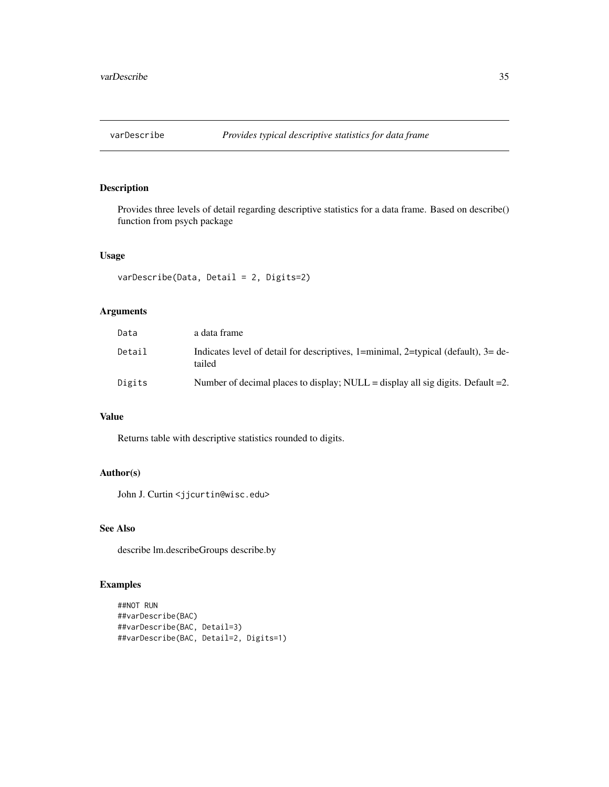<span id="page-34-1"></span><span id="page-34-0"></span>

Provides three levels of detail regarding descriptive statistics for a data frame. Based on describe() function from psych package

# Usage

```
varDescribe(Data, Detail = 2, Digits=2)
```
# Arguments

| Data   | a data frame                                                                                   |
|--------|------------------------------------------------------------------------------------------------|
| Detail | Indicates level of detail for descriptives, 1=minimal, 2=typical (default), $3=$ de-<br>tailed |
| Digits | Number of decimal places to display; NULL = display all sig digits. Default =2.                |

# Value

Returns table with descriptive statistics rounded to digits.

# Author(s)

John J. Curtin <jjcurtin@wisc.edu>

# See Also

describe lm.describeGroups describe.by

```
##NOT RUN
##varDescribe(BAC)
##varDescribe(BAC, Detail=3)
##varDescribe(BAC, Detail=2, Digits=1)
```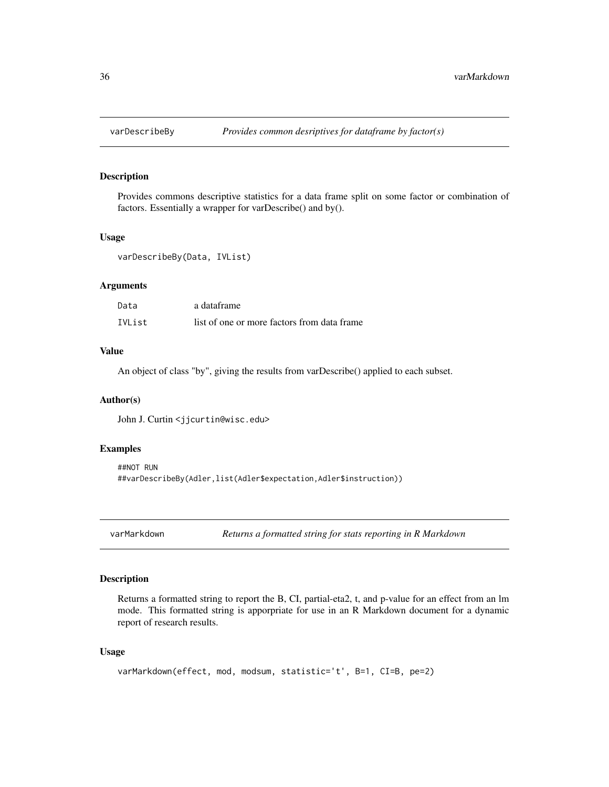<span id="page-35-1"></span><span id="page-35-0"></span>

Provides commons descriptive statistics for a data frame split on some factor or combination of factors. Essentially a wrapper for varDescribe() and by().

#### Usage

varDescribeBy(Data, IVList)

#### Arguments

| Data   | a dataframe                                 |
|--------|---------------------------------------------|
| IVList | list of one or more factors from data frame |

#### Value

An object of class "by", giving the results from varDescribe() applied to each subset.

# Author(s)

John J. Curtin <jjcurtin@wisc.edu>

# Examples

```
##NOT RUN
##varDescribeBy(Adler,list(Adler$expectation,Adler$instruction))
```
varMarkdown *Returns a formatted string for stats reporting in R Markdown*

#### Description

Returns a formatted string to report the B, CI, partial-eta2, t, and p-value for an effect from an lm mode. This formatted string is apporpriate for use in an R Markdown document for a dynamic report of research results.

#### Usage

```
varMarkdown(effect, mod, modsum, statistic='t', B=1, CI=B, pe=2)
```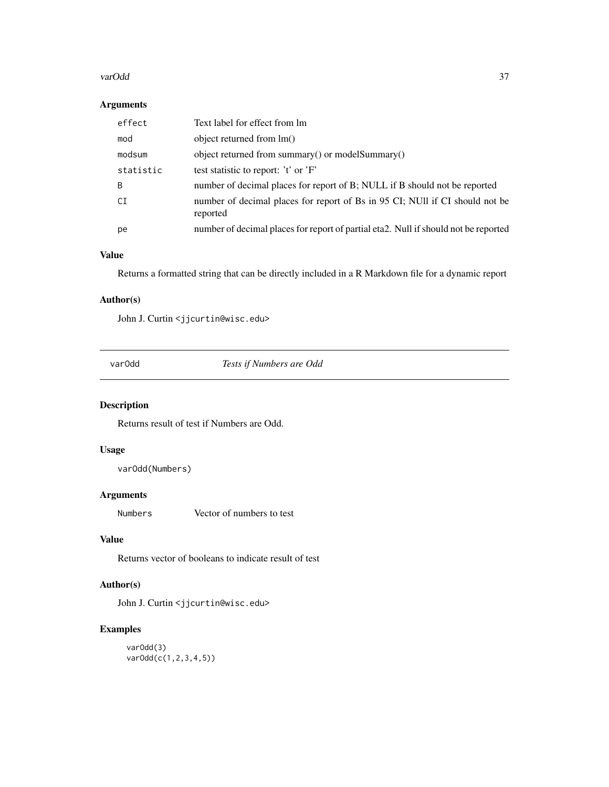#### <span id="page-36-0"></span>varOdd 37

# Arguments

|     | effect    | Text label for effect from lm                                                            |
|-----|-----------|------------------------------------------------------------------------------------------|
| mod |           | object returned from lm()                                                                |
|     | modsum    | object returned from summary() or modelSummary()                                         |
|     | statistic | test statistic to report: 't' or 'F'                                                     |
| B   |           | number of decimal places for report of B; NULL if B should not be reported               |
| CI  |           | number of decimal places for report of Bs in 95 CI; NUII if CI should not be<br>reported |
| рe  |           | number of decimal places for report of partial eta2. Null if should not be reported      |

# Value

Returns a formatted string that can be directly included in a R Markdown file for a dynamic report

# Author(s)

John J. Curtin <jjcurtin@wisc.edu>

varOdd *Tests if Numbers are Odd*

# Description

Returns result of test if Numbers are Odd.

# Usage

varOdd(Numbers)

### Arguments

Numbers Vector of numbers to test

# Value

Returns vector of booleans to indicate result of test

# Author(s)

John J. Curtin <jjcurtin@wisc.edu>

# Examples

varOdd(3) varOdd(c(1,2,3,4,5))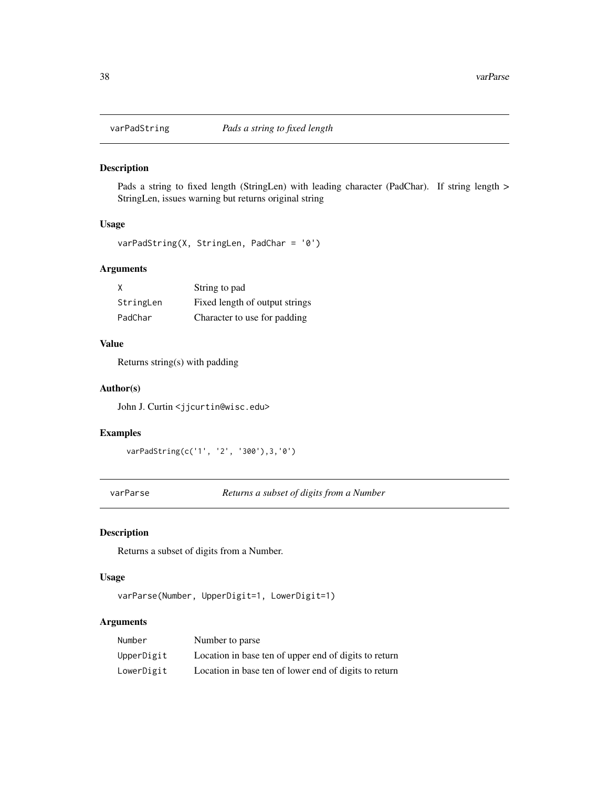<span id="page-37-0"></span>

Pads a string to fixed length (StringLen) with leading character (PadChar). If string length > StringLen, issues warning but returns original string

# Usage

```
varPadString(X, StringLen, PadChar = '0')
```
# Arguments

| X         | String to pad                  |
|-----------|--------------------------------|
| StringLen | Fixed length of output strings |
| PadChar   | Character to use for padding   |

# Value

Returns string(s) with padding

#### Author(s)

John J. Curtin <jjcurtin@wisc.edu>

### Examples

```
varPadString(c('1', '2', '300'),3,'0')
```
varParse *Returns a subset of digits from a Number*

# Description

Returns a subset of digits from a Number.

#### Usage

```
varParse(Number, UpperDigit=1, LowerDigit=1)
```
# Arguments

| Number     | Number to parse                                       |
|------------|-------------------------------------------------------|
| UpperDigit | Location in base ten of upper end of digits to return |
| LowerDigit | Location in base ten of lower end of digits to return |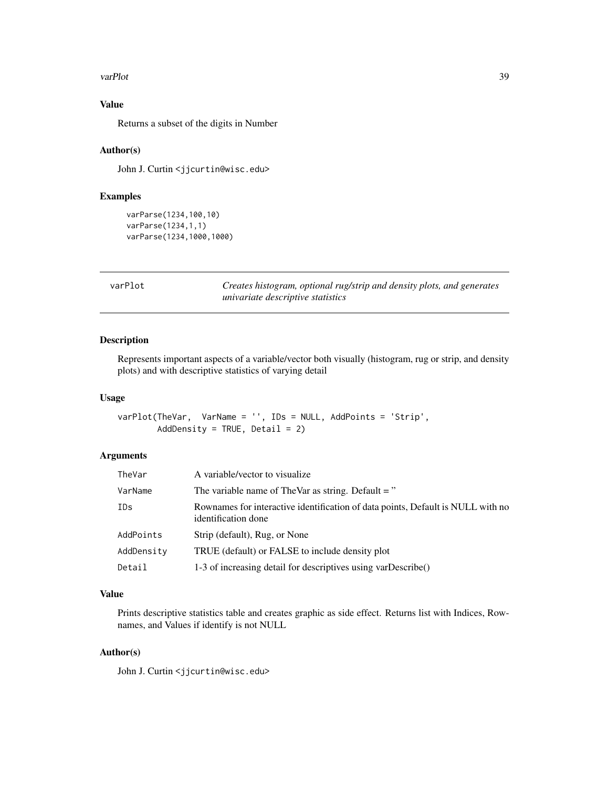#### <span id="page-38-0"></span>varPlot 39

# Value

Returns a subset of the digits in Number

# Author(s)

John J. Curtin <jjcurtin@wisc.edu>

# Examples

```
varParse(1234,100,10)
varParse(1234,1,1)
varParse(1234,1000,1000)
```
<span id="page-38-1"></span>

| D<br>n1<br>/arF |  |
|-----------------|--|
|-----------------|--|

t **c** *Creates histogram, optional rug/strip and density plots, and generates univariate descriptive statistics*

# Description

Represents important aspects of a variable/vector both visually (histogram, rug or strip, and density plots) and with descriptive statistics of varying detail

# Usage

varPlot(TheVar, VarName = '', IDs = NULL, AddPoints = 'Strip', AddDensity = TRUE, Detail =  $2$ )

#### Arguments

| TheVar     | A variable/vector to visualize                                                                         |
|------------|--------------------------------------------------------------------------------------------------------|
| VarName    | The variable name of TheVar as string. Default = $"$                                                   |
| IDs        | Rownames for interactive identification of data points, Default is NULL with no<br>identification done |
| AddPoints  | Strip (default), Rug, or None                                                                          |
| AddDensity | TRUE (default) or FALSE to include density plot                                                        |
| Detail     | 1-3 of increasing detail for descriptives using varDescribe()                                          |

# Value

Prints descriptive statistics table and creates graphic as side effect. Returns list with Indices, Rownames, and Values if identify is not NULL

#### Author(s)

John J. Curtin <jjcurtin@wisc.edu>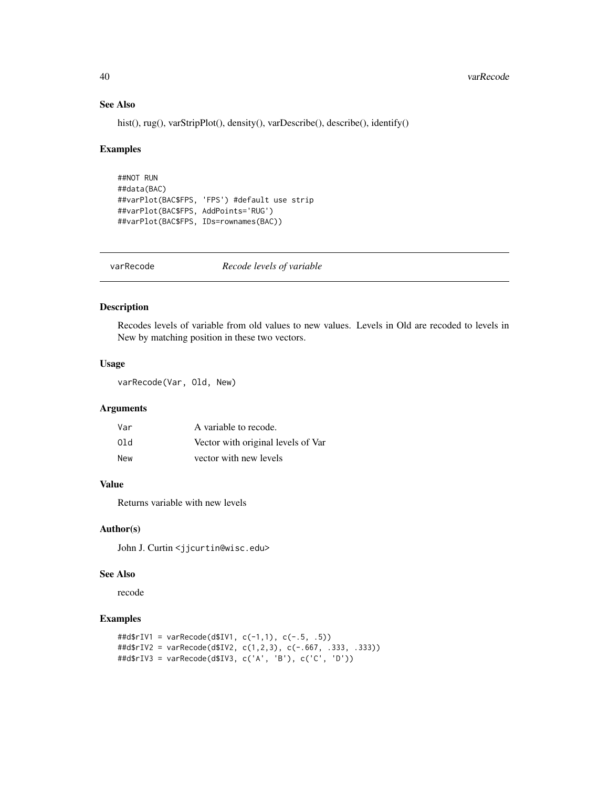# See Also

hist(), rug(), varStripPlot(), density(), varDescribe(), describe(), identify()

#### Examples

```
##NOT RUN
##data(BAC)
##varPlot(BAC$FPS, 'FPS') #default use strip
##varPlot(BAC$FPS, AddPoints='RUG')
##varPlot(BAC$FPS, IDs=rownames(BAC))
```

| Recode levels of variable<br>varRecode |  |
|----------------------------------------|--|
|----------------------------------------|--|

# Description

Recodes levels of variable from old values to new values. Levels in Old are recoded to levels in New by matching position in these two vectors.

#### Usage

varRecode(Var, Old, New)

# Arguments

| Var | A variable to recode.              |
|-----|------------------------------------|
| 01d | Vector with original levels of Var |
| New | vector with new levels             |

# Value

Returns variable with new levels

#### Author(s)

John J. Curtin <jjcurtin@wisc.edu>

# See Also

recode

```
##d$rIV1 = varRecode(d$IV1, c(-1,1), c(-.5, .5))
##d$rIV2 = varRecode(d$IV2, c(1,2,3), c(-.667, .333, .333))
##d$rIV3 = varRecode(d$IV3, c('A', 'B'), c('C', 'D'))
```
<span id="page-39-0"></span>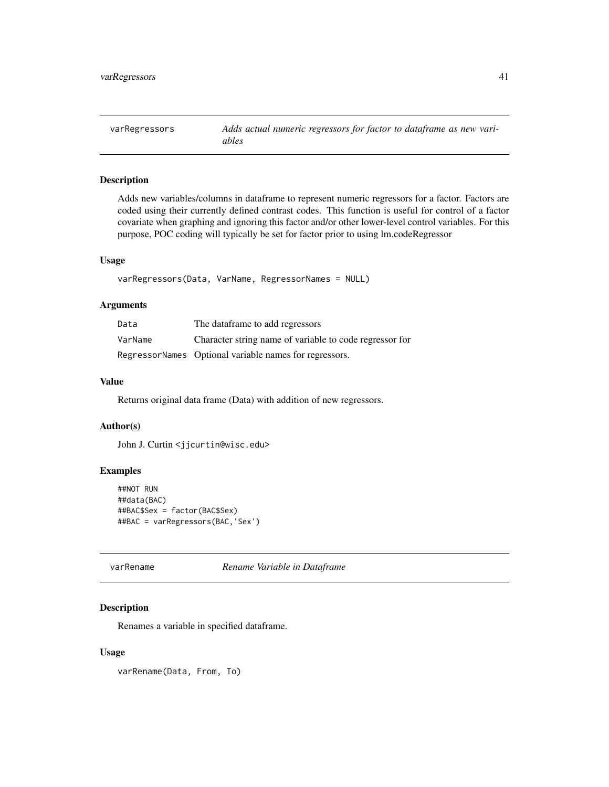<span id="page-40-1"></span><span id="page-40-0"></span>varRegressors *Adds actual numeric regressors for factor to dataframe as new variables*

# Description

Adds new variables/columns in dataframe to represent numeric regressors for a factor. Factors are coded using their currently defined contrast codes. This function is useful for control of a factor covariate when graphing and ignoring this factor and/or other lower-level control variables. For this purpose, POC coding will typically be set for factor prior to using lm.codeRegressor

# Usage

```
varRegressors(Data, VarName, RegressorNames = NULL)
```
# Arguments

| Data    | The dataframe to add regressors                         |
|---------|---------------------------------------------------------|
| VarName | Character string name of variable to code regressor for |
|         | RegressorNames Optional variable names for regressors.  |

# Value

Returns original data frame (Data) with addition of new regressors.

# Author(s)

John J. Curtin <jjcurtin@wisc.edu>

# Examples

```
##NOT RUN
##data(BAC)
##BAC$Sex = factor(BAC$Sex)
##BAC = varRegressors(BAC,'Sex')
```
<span id="page-40-2"></span>varRename *Rename Variable in Dataframe*

#### Description

Renames a variable in specified dataframe.

#### Usage

varRename(Data, From, To)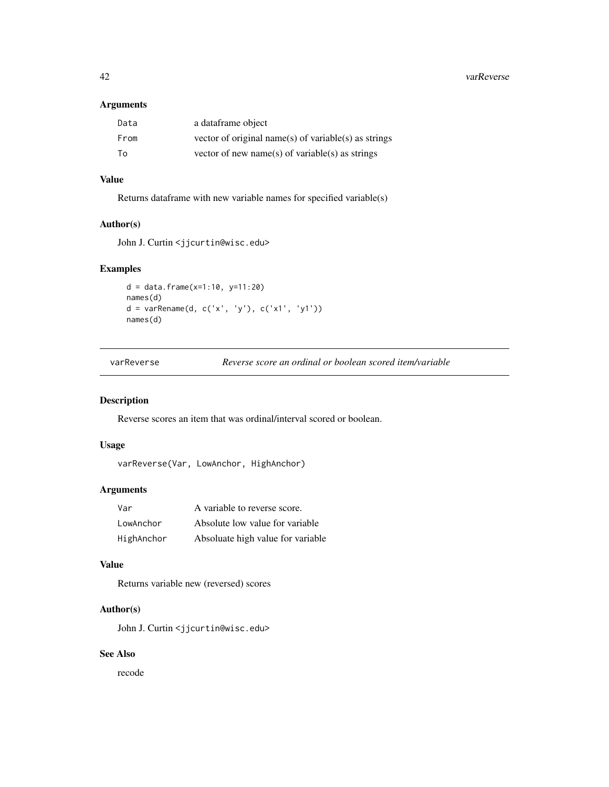<span id="page-41-0"></span>42 varReverse

# Arguments

| Data | a dataframe object                                   |
|------|------------------------------------------------------|
| From | vector of original name(s) of variable(s) as strings |
| To   | vector of new name(s) of variable(s) as strings      |

# Value

Returns dataframe with new variable names for specified variable(s)

# Author(s)

John J. Curtin <jjcurtin@wisc.edu>

# Examples

```
d = data.frame(x=1:10, y=11:20)
names(d)
d = \text{varRange}(d, c('x', 'y'), c('x1', 'y1'))names(d)
```

| varReverse | Re |
|------------|----|
|            |    |

everse *score an ordinal or boolean scored item/variable* 

# Description

Reverse scores an item that was ordinal/interval scored or boolean.

# Usage

```
varReverse(Var, LowAnchor, HighAnchor)
```
# Arguments

| Var        | A variable to reverse score.      |
|------------|-----------------------------------|
| LowAnchor  | Absolute low value for variable   |
| HighAnchor | Absoluate high value for variable |

# Value

Returns variable new (reversed) scores

# Author(s)

John J. Curtin <jjcurtin@wisc.edu>

# See Also

recode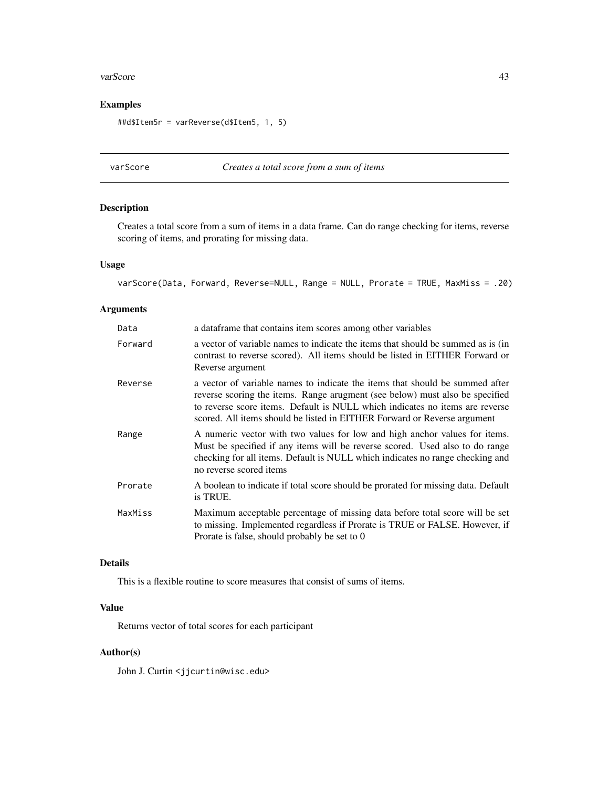#### <span id="page-42-0"></span>varScore **43**

# Examples

```
##d$Item5r = varReverse(d$Item5, 1, 5)
```
# varScore *Creates a total score from a sum of items*

# Description

Creates a total score from a sum of items in a data frame. Can do range checking for items, reverse scoring of items, and prorating for missing data.

#### Usage

```
varScore(Data, Forward, Reverse=NULL, Range = NULL, Prorate = TRUE, MaxMiss = .20)
```
# Arguments

| Data    | a data frame that contains item scores among other variables                                                                                                                                                                                                                                                             |
|---------|--------------------------------------------------------------------------------------------------------------------------------------------------------------------------------------------------------------------------------------------------------------------------------------------------------------------------|
| Forward | a vector of variable names to indicate the items that should be summed as is (in<br>contrast to reverse scored). All items should be listed in EITHER Forward or<br>Reverse argument                                                                                                                                     |
| Reverse | a vector of variable names to indicate the items that should be summed after<br>reverse scoring the items. Range arugment (see below) must also be specified<br>to reverse score items. Default is NULL which indicates no items are reverse<br>scored. All items should be listed in EITHER Forward or Reverse argument |
| Range   | A numeric vector with two values for low and high anchor values for items.<br>Must be specified if any items will be reverse scored. Used also to do range<br>checking for all items. Default is NULL which indicates no range checking and<br>no reverse scored items                                                   |
| Prorate | A boolean to indicate if total score should be prorated for missing data. Default<br>is TRUE.                                                                                                                                                                                                                            |
| MaxMiss | Maximum acceptable percentage of missing data before total score will be set<br>to missing. Implemented regardless if Prorate is TRUE or FALSE. However, if<br>Prorate is false, should probably be set to 0                                                                                                             |

# Details

This is a flexible routine to score measures that consist of sums of items.

# Value

Returns vector of total scores for each participant

#### Author(s)

John J. Curtin <jjcurtin@wisc.edu>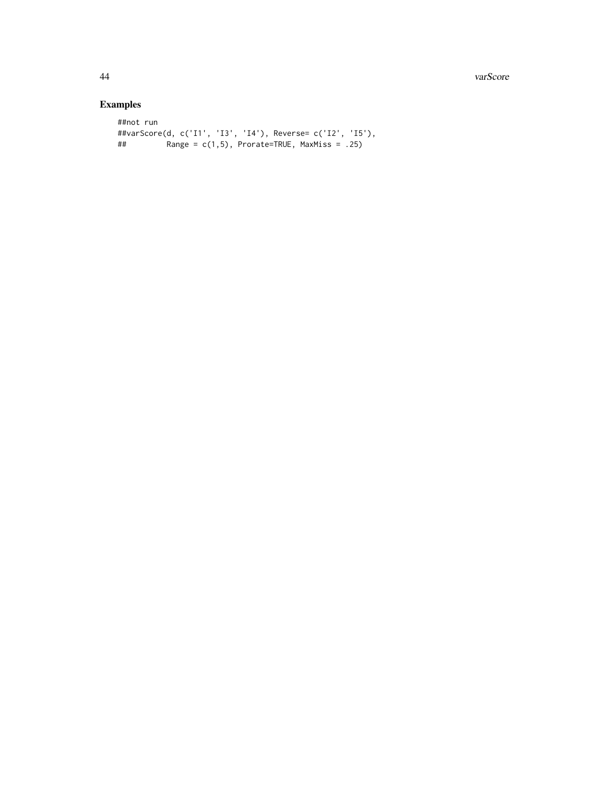44 varScore

```
##not run
##varScore(d, c('I1', 'I3', 'I4'), Reverse= c('I2', 'I5'),
## Range = c(1,5), Prorate=TRUE, MaxMiss = .25)
```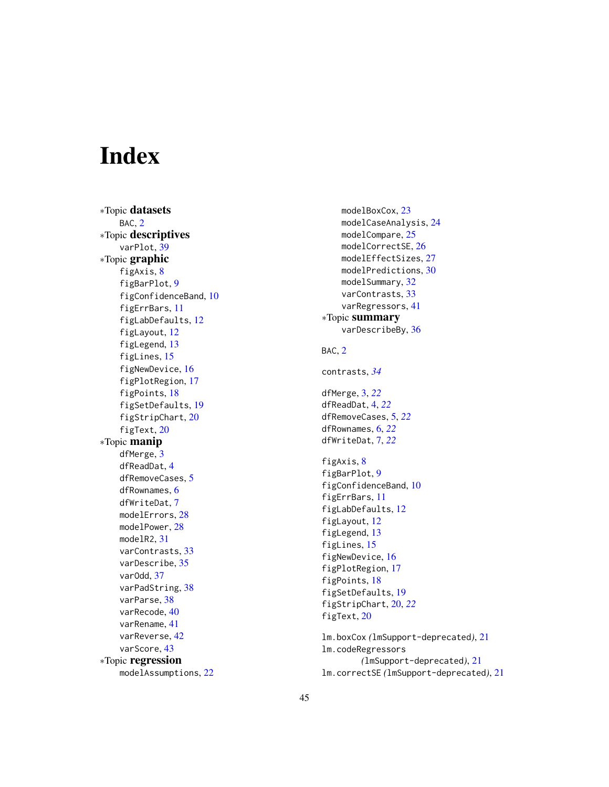# <span id="page-44-0"></span>Index

∗Topic datasets BAC , [2](#page-1-0) ∗Topic descriptives varPlot, [39](#page-38-0) ∗Topic graphic figAxis , [8](#page-7-0) figBarPlot , [9](#page-8-0) figConfidenceBand , [10](#page-9-0) figErrBars , [11](#page-10-0) figLabDefaults , [12](#page-11-0) figLayout , [12](#page-11-0) figLegend , [13](#page-12-0) figLines, [15](#page-14-0) figNewDevice , [16](#page-15-0) figPlotRegion , [17](#page-16-0) figPoints , [18](#page-17-0) figSetDefaults , [19](#page-18-0) figStripChart, [20](#page-19-0) figText, [20](#page-19-0) ∗Topic manip dfMerge , [3](#page-2-0) dfReadDat , [4](#page-3-0) dfRemoveCases , [5](#page-4-0) dfRownames, [6](#page-5-0) dfWriteDat , [7](#page-6-0) modelErrors, [28](#page-27-0) modelPower, [28](#page-27-0) modelR2 , [31](#page-30-0) varContrasts , [33](#page-32-0) varDescribe , [35](#page-34-0) varOdd , [37](#page-36-0) varPadString, [38](#page-37-0) varParse , [38](#page-37-0) varRecode , [40](#page-39-0) varRename , [41](#page-40-0) varReverse , [42](#page-41-0) varScore , [43](#page-42-0) ∗Topic regression modelAssumptions , [22](#page-21-0)

modelBoxCox, [23](#page-22-0) modelCaseAnalysis , [24](#page-23-0) modelCompare, 2<mark>5</mark> modelCorrectSE , [26](#page-25-0) modelEffectSizes , [27](#page-26-0) modelPredictions , [30](#page-29-0) modelSummary, [32](#page-31-0) varContrasts , [33](#page-32-0) varRegressors , [41](#page-40-0) ∗Topic summary varDescribeBy, [36](#page-35-0) BAC, [2](#page-1-0) contrasts , *[34](#page-33-0)* dfMerge , [3](#page-2-0) , *[22](#page-21-0)* dfReadDat , [4](#page-3-0) , *[22](#page-21-0)* dfRemoveCases , [5](#page-4-0) , *[22](#page-21-0)* dfRownames , [6](#page-5-0) , *[22](#page-21-0)* dfWriteDat , [7](#page-6-0) , *[22](#page-21-0)* figAxis, [8](#page-7-0) figBarPlot , [9](#page-8-0) figConfidenceBand , [10](#page-9-0) figErrBars , [11](#page-10-0) figLabDefaults , [12](#page-11-0) figLayout , [12](#page-11-0) figLegend, [13](#page-12-0) figLines, [15](#page-14-0) figNewDevice , [16](#page-15-0) figPlotRegion , [17](#page-16-0) figPoints , [18](#page-17-0) figSetDefaults , [19](#page-18-0) figStripChart , [20](#page-19-0) , *[22](#page-21-0)* figText, [20](#page-19-0) lm.boxCox *(*lmSupport-deprecated *)* , [21](#page-20-0) lm.codeRegressors *(*lmSupport-deprecated *)* , [21](#page-20-0)

lm.correctSE *(*lmSupport-deprecated *)* , [21](#page-20-0)